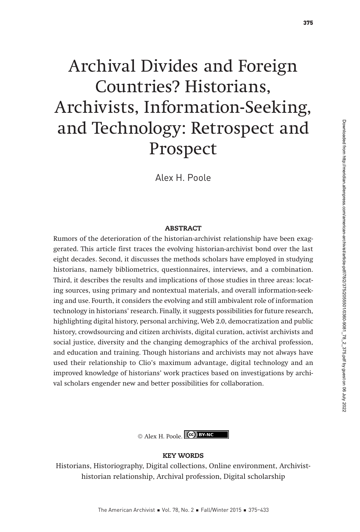Alex H. Poole

#### ABSTRACT

Rumors of the deterioration of the historian-archivist relationship have been exaggerated. This article first traces the evolving historian-archivist bond over the last eight decades. Second, it discusses the methods scholars have employed in studying historians, namely bibliometrics, questionnaires, interviews, and a combination. Third, it describes the results and implications of those studies in three areas: locating sources, using primary and nontextual materials, and overall information-seeking and use. Fourth, it considers the evolving and still ambivalent role of information technology in historians' research. Finally, it suggests possibilities for future research, highlighting digital history, personal archiving, Web 2.0, democratization and public history, crowdsourcing and citizen archivists, digital curation, activist archivists and social justice, diversity and the changing demographics of the archival profession, and education and training. Though historians and archivists may not always have used their relationship to Clio's maximum advantage, digital technology and an improved knowledge of historians' work practices based on investigations by archival scholars engender new and better possibilities for collaboration.

© Alex H. Poole.

#### KEY WORDS

Historians, Historiography, Digital collections, Online environment, Archivisthistorian relationship, Archival profession, Digital scholarship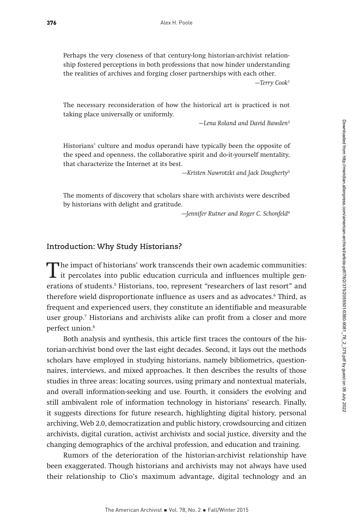Perhaps the very closeness of that century-long historian-archivist relationship fostered perceptions in both professions that now hinder understanding the realities of archives and forging closer partnerships with each other.

—Terry Cook<sup>1</sup>

The necessary reconsideration of how the historical art is practiced is not taking place universally or uniformly.

—Lena Roland and David Bawden<sup>2</sup>

Historians' culture and modus operandi have typically been the opposite of the speed and openness, the collaborative spirit and do-it-yourself mentality, that characterize the Internet at its best.

—Kristen Nawrotzki and Jack Dougherty<sup>3</sup>

The moments of discovery that scholars share with archivists were described by historians with delight and gratitude.

—Jennifer Rutner and Roger C. Schonfeld<sup>4</sup>

#### **Introduction: Why Study Historians?**

The impact of historians' work transcends their own academic communities:<br>it percolates into public education curricula and influences multiple gen-<br>exprising of students in Historians, too, represent "percomplexe of lest erations of students.5 Historians, too, represent "researchers of last resort" and therefore wield disproportionate influence as users and as advocates.6 Third, as frequent and experienced users, they constitute an identifiable and measurable user group.7 Historians and archivists alike can profit from a closer and more perfect union.<sup>8</sup>

Both analysis and synthesis, this article first traces the contours of the historian-archivist bond over the last eight decades. Second, it lays out the methods scholars have employed in studying historians, namely bibliometrics, questionnaires, interviews, and mixed approaches. It then describes the results of those studies in three areas: locating sources, using primary and nontextual materials, and overall information-seeking and use. Fourth, it considers the evolving and still ambivalent role of information technology in historians' research. Finally, it suggests directions for future research, highlighting digital history, personal archiving, Web 2.0, democratization and public history, crowdsourcing and citizen archivists, digital curation, activist archivists and social justice, diversity and the changing demographics of the archival profession, and education and training.

Rumors of the deterioration of the historian-archivist relationship have been exaggerated. Though historians and archivists may not always have used their relationship to Clio's maximum advantage, digital technology and an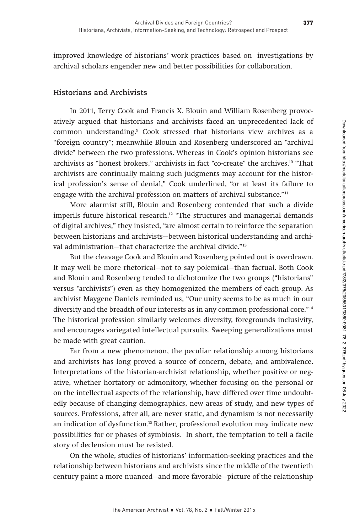improved knowledge of historians' work practices based on investigations by archival scholars engender new and better possibilities for collaboration.

# **Historians and Archivists**

In 2011, Terry Cook and Francis X. Blouin and William Rosenberg provocatively argued that historians and archivists faced an unprecedented lack of common understanding.9 Cook stressed that historians view archives as a "foreign country"; meanwhile Blouin and Rosenberg underscored an "archival divide" between the two professions. Whereas in Cook's opinion historians see archivists as "honest brokers," archivists in fact "co-create" the archives.10 "That archivists are continually making such judgments may account for the historical profession's sense of denial," Cook underlined, "or at least its failure to engage with the archival profession on matters of archival substance."11

More alarmist still, Blouin and Rosenberg contended that such a divide imperils future historical research.<sup>12</sup> "The structures and managerial demands of digital archives," they insisted, "are almost certain to reinforce the separation between historians and archivists—between historical understanding and archival administration—that characterize the archival divide."13

But the cleavage Cook and Blouin and Rosenberg pointed out is overdrawn. It may well be more rhetorical—not to say polemical—than factual. Both Cook and Blouin and Rosenberg tended to dichotomize the two groups ("historians" versus "archivists") even as they homogenized the members of each group. As archivist Maygene Daniels reminded us, "Our unity seems to be as much in our diversity and the breadth of our interests as in any common professional core."14 The historical profession similarly welcomes diversity, foregrounds inclusivity, and encourages variegated intellectual pursuits. Sweeping generalizations must be made with great caution.

Far from a new phenomenon, the peculiar relationship among historians and archivists has long proved a source of concern, debate, and ambivalence. Interpretations of the historian-archivist relationship, whether positive or negative, whether hortatory or admonitory, whether focusing on the personal or on the intellectual aspects of the relationship, have differed over time undoubtedly because of changing demographics, new areas of study, and new types of sources. Professions, after all, are never static, and dynamism is not necessarily an indication of dysfunction.15 Rather, professional evolution may indicate new possibilities for or phases of symbiosis. In short, the temptation to tell a facile story of declension must be resisted.

On the whole, studies of historians' information-seeking practices and the relationship between historians and archivists since the middle of the twentieth century paint a more nuanced—and more favorable—picture of the relationship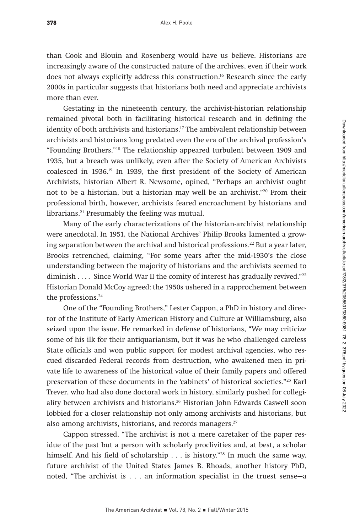than Cook and Blouin and Rosenberg would have us believe. Historians are increasingly aware of the constructed nature of the archives, even if their work does not always explicitly address this construction.<sup>16</sup> Research since the early 2000s in particular suggests that historians both need and appreciate archivists more than ever.

Gestating in the nineteenth century, the archivist-historian relationship remained pivotal both in facilitating historical research and in defining the identity of both archivists and historians.17 The ambivalent relationship between archivists and historians long predated even the era of the archival profession's "Founding Brothers."18 The relationship appeared turbulent between 1909 and 1935, but a breach was unlikely, even after the Society of American Archivists coalesced in 1936.19 In 1939, the first president of the Society of American Archivists, historian Albert R. Newsome, opined, "Perhaps an archivist ought not to be a historian, but a historian may well be an archivist."20 From their professional birth, however, archivists feared encroachment by historians and librarians.<sup>21</sup> Presumably the feeling was mutual.

Many of the early characterizations of the historian-archivist relationship were anecdotal. In 1951, the National Archives' Philip Brooks lamented a growing separation between the archival and historical professions.<sup>22</sup> But a year later, Brooks retrenched, claiming, "For some years after the mid-1930's the close understanding between the majority of historians and the archivists seemed to diminish . . . . Since World War II the comity of interest has gradually revived."<sup>23</sup> Historian Donald McCoy agreed: the 1950s ushered in a rapprochement between the professions.<sup>24</sup>

One of the "Founding Brothers," Lester Cappon, a PhD in history and director of the Institute of Early American History and Culture at Williamsburg, also seized upon the issue. He remarked in defense of historians, "We may criticize some of his ilk for their antiquarianism, but it was he who challenged careless State officials and won public support for modest archival agencies, who rescued discarded Federal records from destruction, who awakened men in private life to awareness of the historical value of their family papers and offered preservation of these documents in the 'cabinets' of historical societies."25 Karl Trever, who had also done doctoral work in history, similarly pushed for collegiality between archivists and historians.<sup>26</sup> Historian John Edwards Caswell soon lobbied for a closer relationship not only among archivists and historians, but also among archivists, historians, and records managers.<sup>27</sup>

Cappon stressed, "The archivist is not a mere caretaker of the paper residue of the past but a person with scholarly proclivities and, at best, a scholar himself. And his field of scholarship  $\ldots$  is history."<sup>28</sup> In much the same way, future archivist of the United States James B. Rhoads, another history PhD, noted, "The archivist is . . . an information specialist in the truest sense—a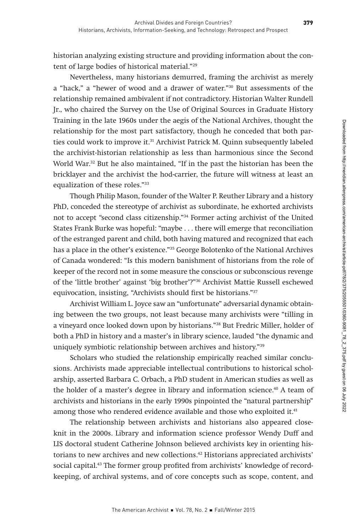historian analyzing existing structure and providing information about the content of large bodies of historical material."29

Nevertheless, many historians demurred, framing the archivist as merely a "hack," a "hewer of wood and a drawer of water."30 But assessments of the relationship remained ambivalent if not contradictory. Historian Walter Rundell Jr., who chaired the Survey on the Use of Original Sources in Graduate History Training in the late 1960s under the aegis of the National Archives, thought the relationship for the most part satisfactory, though he conceded that both parties could work to improve it.<sup>31</sup> Archivist Patrick M. Quinn subsequently labeled the archivist-historian relationship as less than harmonious since the Second World War.<sup>32</sup> But he also maintained, "If in the past the historian has been the bricklayer and the archivist the hod-carrier, the future will witness at least an equalization of these roles."33

Though Philip Mason, founder of the Walter P. Reuther Library and a history PhD, conceded the stereotype of archivist as subordinate, he exhorted archivists not to accept "second class citizenship."34 Former acting archivist of the United States Frank Burke was hopeful: "maybe . . . there will emerge that reconciliation of the estranged parent and child, both having matured and recognized that each has a place in the other's existence."35 George Bolotenko of the National Archives of Canada wondered: "Is this modern banishment of historians from the role of keeper of the record not in some measure the conscious or subconscious revenge of the 'little brother' against 'big brother'?"36 Archivist Mattie Russell eschewed equivocation, insisting, "Archivists should first be historians."37

Archivist William L. Joyce saw an "unfortunate" adversarial dynamic obtaining between the two groups, not least because many archivists were "tilling in a vineyard once looked down upon by historians."38 But Fredric Miller, holder of both a PhD in history and a master's in library science, lauded "the dynamic and uniquely symbiotic relationship between archives and history."39

Scholars who studied the relationship empirically reached similar conclusions. Archivists made appreciable intellectual contributions to historical scholarship, asserted Barbara C. Orbach, a PhD student in American studies as well as the holder of a master's degree in library and information science.<sup>40</sup> A team of archivists and historians in the early 1990s pinpointed the "natural partnership" among those who rendered evidence available and those who exploited it.<sup>41</sup>

The relationship between archivists and historians also appeared closeknit in the 2000s. Library and information science professor Wendy Duff and LIS doctoral student Catherine Johnson believed archivists key in orienting historians to new archives and new collections.42 Historians appreciated archivists' social capital.<sup>43</sup> The former group profited from archivists' knowledge of recordkeeping, of archival systems, and of core concepts such as scope, content, and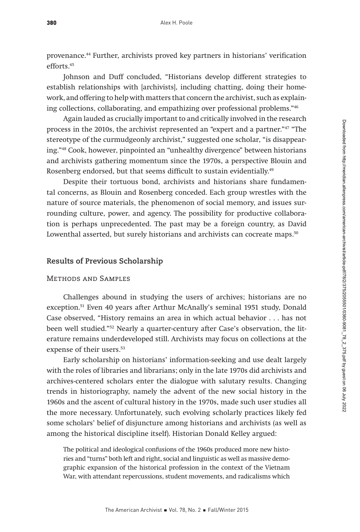provenance.44 Further, archivists proved key partners in historians' verification efforts.45

Johnson and Duff concluded, "Historians develop different strategies to establish relationships with [archivists], including chatting, doing their homework, and offering to help with matters that concern the archivist, such as explaining collections, collaborating, and empathizing over professional problems."46

Again lauded as crucially important to and critically involved in the research process in the 2010s, the archivist represented an "expert and a partner."47 "The stereotype of the curmudgeonly archivist," suggested one scholar, "is disappearing."48 Cook, however, pinpointed an "unhealthy divergence" between historians and archivists gathering momentum since the 1970s, a perspective Blouin and Rosenberg endorsed, but that seems difficult to sustain evidentially.<sup>49</sup>

Despite their tortuous bond, archivists and historians share fundamental concerns, as Blouin and Rosenberg conceded. Each group wrestles with the nature of source materials, the phenomenon of social memory, and issues surrounding culture, power, and agency. The possibility for productive collaboration is perhaps unprecedented. The past may be a foreign country, as David Lowenthal asserted, but surely historians and archivists can cocreate maps.<sup>50</sup>

### **Results of Previous Scholarship**

# Methods and Samples

Challenges abound in studying the users of archives; historians are no exception.51 Even 40 years after Arthur McAnally's seminal 1951 study, Donald Case observed, "History remains an area in which actual behavior . . . has not been well studied."52 Nearly a quarter-century after Case's observation, the literature remains underdeveloped still. Archivists may focus on collections at the expense of their users.<sup>53</sup>

Early scholarship on historians' information-seeking and use dealt largely with the roles of libraries and librarians; only in the late 1970s did archivists and archives-centered scholars enter the dialogue with salutary results. Changing trends in historiography, namely the advent of the new social history in the 1960s and the ascent of cultural history in the 1970s, made such user studies all the more necessary. Unfortunately, such evolving scholarly practices likely fed some scholars' belief of disjuncture among historians and archivists (as well as among the historical discipline itself). Historian Donald Kelley argued:

The political and ideological confusions of the 1960s produced more new histories and "turns" both left and right, social and linguistic as well as massive demographic expansion of the historical profession in the context of the Vietnam War, with attendant repercussions, student movements, and radicalisms which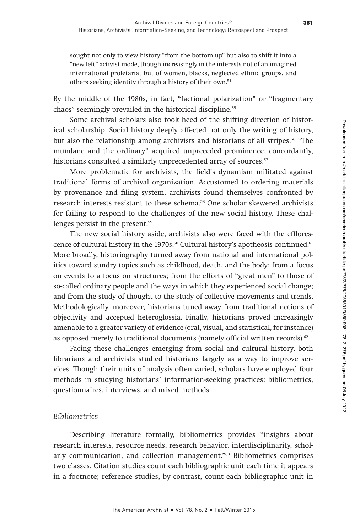sought not only to view history "from the bottom up" but also to shift it into a "new left" activist mode, though increasingly in the interests not of an imagined international proletariat but of women, blacks, neglected ethnic groups, and others seeking identity through a history of their own.54

By the middle of the 1980s, in fact, "factional polarization" or "fragmentary chaos" seemingly prevailed in the historical discipline.55

Some archival scholars also took heed of the shifting direction of historical scholarship. Social history deeply affected not only the writing of history, but also the relationship among archivists and historians of all stripes.56 "The mundane and the ordinary" acquired unpreceded prominence; concordantly, historians consulted a similarly unprecedented array of sources.<sup>57</sup>

More problematic for archivists, the field's dynamism militated against traditional forms of archival organization. Accustomed to ordering materials by provenance and filing system, archivists found themselves confronted by research interests resistant to these schema.58 One scholar skewered archivists for failing to respond to the challenges of the new social history. These challenges persist in the present.59

The new social history aside, archivists also were faced with the efflorescence of cultural history in the 1970s.<sup>60</sup> Cultural history's apotheosis continued.<sup>61</sup> More broadly, historiography turned away from national and international politics toward sundry topics such as childhood, death, and the body; from a focus on events to a focus on structures; from the efforts of "great men" to those of so-called ordinary people and the ways in which they experienced social change; and from the study of thought to the study of collective movements and trends. Methodologically, moreover, historians tuned away from traditional notions of objectivity and accepted heteroglossia. Finally, historians proved increasingly amenable to a greater variety of evidence (oral, visual, and statistical, for instance) as opposed merely to traditional documents (namely official written records).<sup>62</sup>

Facing these challenges emerging from social and cultural history, both librarians and archivists studied historians largely as a way to improve services. Though their units of analysis often varied, scholars have employed four methods in studying historians' information-seeking practices: bibliometrics, questionnaires, interviews, and mixed methods.

# *Bibliometrics*

Describing literature formally, bibliometrics provides "insights about research interests, resource needs, research behavior, interdisciplinarity, scholarly communication, and collection management."63 Bibliometrics comprises two classes. Citation studies count each bibliographic unit each time it appears in a footnote; reference studies, by contrast, count each bibliographic unit in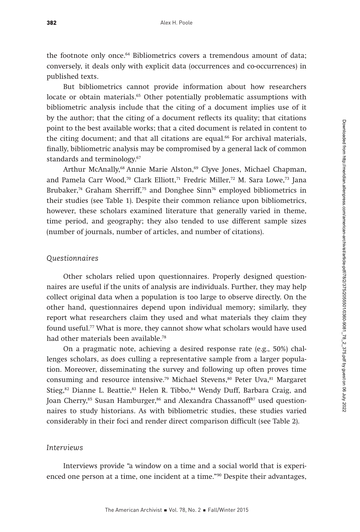the footnote only once.<sup>64</sup> Bibliometrics covers a tremendous amount of data; conversely, it deals only with explicit data (occurrences and co-occurrences) in published texts.

But bibliometrics cannot provide information about how researchers locate or obtain materials.<sup>65</sup> Other potentially problematic assumptions with bibliometric analysis include that the citing of a document implies use of it by the author; that the citing of a document reflects its quality; that citations point to the best available works; that a cited document is related in content to the citing document; and that all citations are equal.<sup>66</sup> For archival materials, finally, bibliometric analysis may be compromised by a general lack of common standards and terminology.<sup>67</sup>

Arthur McAnally,<sup>68</sup> Annie Marie Alston,<sup>69</sup> Clyve Jones, Michael Chapman, and Pamela Carr Wood,<sup>70</sup> Clark Elliott,<sup>71</sup> Fredric Miller,<sup>72</sup> M. Sara Lowe,<sup>73</sup> Jana Brubaker,<sup>74</sup> Graham Sherriff,<sup>75</sup> and Donghee Sinn<sup>76</sup> employed bibliometrics in their studies (see Table 1). Despite their common reliance upon bibliometrics, however, these scholars examined literature that generally varied in theme, time period, and geography; they also tended to use different sample sizes (number of journals, number of articles, and number of citations).

#### *Questionnaires*

Other scholars relied upon questionnaires. Properly designed questionnaires are useful if the units of analysis are individuals. Further, they may help collect original data when a population is too large to observe directly. On the other hand, questionnaires depend upon individual memory; similarly, they report what researchers claim they used and what materials they claim they found useful.77 What is more, they cannot show what scholars would have used had other materials been available.<sup>78</sup>

On a pragmatic note, achieving a desired response rate (e.g., 50%) challenges scholars, as does culling a representative sample from a larger population. Moreover, disseminating the survey and following up often proves time consuming and resource intensive.<sup>79</sup> Michael Stevens,<sup>80</sup> Peter Uva, $^{81}$  Margaret Stieg,<sup>82</sup> Dianne L. Beattie,<sup>83</sup> Helen R. Tibbo,<sup>84</sup> Wendy Duff, Barbara Craig, and Joan Cherry,<sup>85</sup> Susan Hamburger,<sup>86</sup> and Alexandra Chassanoff<sup>87</sup> used questionnaires to study historians. As with bibliometric studies, these studies varied considerably in their foci and render direct comparison difficult (see Table 2).

#### *Interviews*

Interviews provide "a window on a time and a social world that is experienced one person at a time, one incident at a time."90 Despite their advantages,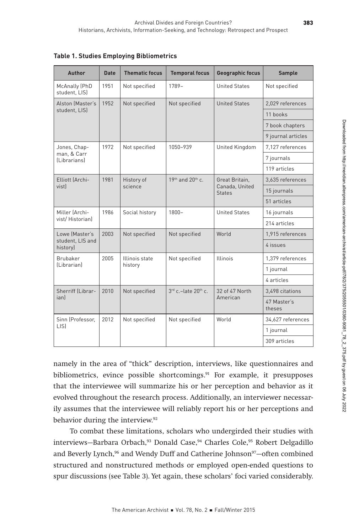| Author                             | <b>Date</b> | <b>Thematic focus</b> | <b>Temporal focus</b>           | Geographic focus     | <b>Sample</b>         |
|------------------------------------|-------------|-----------------------|---------------------------------|----------------------|-----------------------|
| McAnally (PhD<br>student, LIS)     | 1951        | Not specified         | $1789-$                         | <b>United States</b> | Not specified         |
| Alston (Master's                   | 1952        | Not specified         | Not specified                   | <b>United States</b> | 2,029 references      |
| student, LIS)                      |             |                       |                                 |                      | 11 books              |
|                                    |             |                       |                                 |                      | 7 book chapters       |
|                                    |             |                       |                                 |                      | 9 journal articles    |
| Jones, Chap-                       | 1972        | Not specified         | 1050-939                        | United Kingdom       | 7,127 references      |
| man, & Carr<br><i>(Librarians)</i> |             |                       |                                 |                      | 7 journals            |
|                                    |             |                       |                                 |                      | 119 articles          |
| Elliott (Archi-                    | 1981        | History of            | 19th and 20th c.                | Great Britain,       | 3,635 references      |
| vistl                              |             | science               | Canada, United<br><b>States</b> | 15 journals          |                       |
|                                    |             |                       |                                 |                      | 51 articles           |
| Miller (Archi-                     | 1986        | Social history        | $1800 -$                        | <b>United States</b> | 16 journals           |
| vist/Historianl                    |             |                       |                                 |                      | 214 articles          |
| Lowe (Master's                     | 2003        | Not specified         | Not specified                   | World                | 1,915 references      |
| student, LIS and<br>history)       |             |                       |                                 |                      | 4 issues              |
| Brubaker                           | 2005        | Illinois state        | Not specified                   | <b>Illinois</b>      | 1,379 references      |
| (Librarian)                        |             | history               |                                 |                      | 1 journal             |
|                                    |             |                       |                                 |                      | 4 articles            |
| Sherriff (Librar-                  | 2010        | Not specified         | $3rd$ c.-late $20th$ c.         | 32 of 47 North       | 3.498 citations       |
| ianl                               |             |                       |                                 | American             | 47 Master's<br>theses |
| Sinn (Professor,                   | 2012        | Not specified         | Not specified                   | World                | 34,627 references     |
| LIS)                               |             |                       |                                 |                      | 1 journal             |
|                                    |             |                       |                                 |                      | 309 articles          |

**Table 1. Studies Employing Bibliometrics**

namely in the area of "thick" description, interviews, like questionnaires and bibliometrics, evince possible shortcomings.<sup>91</sup> For example, it presupposes that the interviewee will summarize his or her perception and behavior as it evolved throughout the research process. Additionally, an interviewer necessarily assumes that the interviewee will reliably report his or her perceptions and behavior during the interview.<sup>92</sup>

To combat these limitations, scholars who undergirded their studies with interviews—Barbara Orbach,93 Donald Case,94 Charles Cole,95 Robert Delgadillo and Beverly Lynch,<sup>96</sup> and Wendy Duff and Catherine Johnson<sup>97</sup>-often combined structured and nonstructured methods or employed open-ended questions to spur discussions (see Table 3). Yet again, these scholars' foci varied considerably.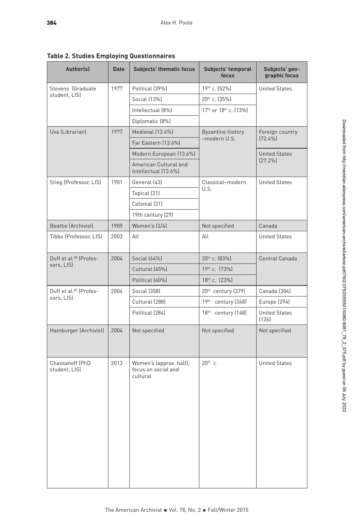**Table 2. Studies Employing Questionnaires** 

| Author(s)                          | <b>Date</b> | <b>Subjects' thematic focus</b>                            | Subjects' temporal<br>focus | Subjects' geo-<br>graphic focus |
|------------------------------------|-------------|------------------------------------------------------------|-----------------------------|---------------------------------|
| Stevens (Graduate                  | 1977        | Political (39%)                                            | 19th c. (52%)               | <b>United States</b>            |
| student, LIS)                      |             | Social (13%)                                               | 20 <sup>th</sup> c. (35%)   |                                 |
|                                    |             | Intellectual (8%)                                          | 17th or 18th c. (13%)       |                                 |
|                                    |             | Diplomatic (8%)                                            |                             |                                 |
| Uva (Librarian)                    | 1977        | Medieval (13.6%)                                           | <b>Byzantine history</b>    | Foreign country                 |
|                                    |             | Far Eastern (13.6%)                                        | -modern U.S.                | $(72.4\%)$                      |
|                                    |             | Modern European (13.6%)                                    |                             | <b>United States</b>            |
|                                    |             | American Cultural and<br>Intellectual (13.6%)              |                             | $(27.2\%)$                      |
| Stieg (Professor, LIS)             | 1981        | General (43)                                               | Classical-modern            | <b>United States</b>            |
|                                    |             | Topical (31)                                               | U.S.                        |                                 |
|                                    |             | Colonial (31)                                              |                             |                                 |
|                                    |             | 19th century (29)                                          |                             |                                 |
| Beattie (Archivist)                | 1989        | Women's (3/4)                                              | Not specified               | Canada                          |
| Tibbo (Professor, LIS)             | 2003        | All                                                        | All                         | <b>United States</b>            |
| Duff et al. <sup>88</sup> (Profes- | 2004        | Social (64%)                                               | 20 <sup>th</sup> c. (83%)   | Central Canada                  |
| sors, LIS)                         |             | Cultural (45%)                                             | 19th c. (73%)               |                                 |
|                                    |             | Political (40%)                                            | 18th c. (23%)               |                                 |
| Duff et al. <sup>89</sup> (Profes- | 2004        | <b>Social (358)</b>                                        | 20th century (379)          | Canada (304)                    |
| sors, LIS)                         |             | Cultural (288)                                             | 19th century (348)          | Europe (294)                    |
|                                    |             | Political (284)                                            | 18th century (148)          | <b>United States</b><br>(126)   |
| Hamburger (Archivist)              | 2004        | Not specified                                              | Not specified               | Not specified                   |
| Chassanoff (PhD<br>student, LIS)   | 2013        | Women's (approx. half);<br>focus on social and<br>cultural | $20th$ c.                   | <b>United States</b>            |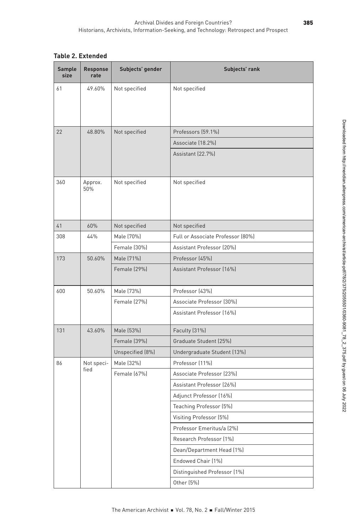|  |  | $\sim$ $ \sim$ |  |  | Table 2. Extended |
|--|--|----------------|--|--|-------------------|

| Sample<br>size | Response<br>rate | Subjects' gender | Subjects' rank                    |
|----------------|------------------|------------------|-----------------------------------|
| 61             | 49.60%           | Not specified    | Not specified                     |
|                |                  |                  |                                   |
|                |                  |                  |                                   |
| 22             | 48.80%           | Not specified    | Professors (59.1%)                |
|                |                  |                  | Associate (18.2%)                 |
|                |                  |                  | Assistant (22.7%)                 |
|                |                  |                  |                                   |
| 360            | Approx.<br>50%   | Not specified    | Not specified                     |
|                |                  |                  |                                   |
|                |                  |                  |                                   |
| $41$           | 60%              | Not specified    | Not specified                     |
| 308            | 44%              | Male (70%)       | Full or Associate Professor (80%) |
|                |                  | Female (30%)     | Assistant Professor (20%)         |
| 173            | 50.60%           | Male (71%)       | Professor (45%)                   |
|                |                  | Female (29%)     | Assistant Professor (16%)         |
|                |                  |                  |                                   |
| 600            | 50.60%           | Male (73%)       | Professor (43%)                   |
|                |                  | Female (27%)     | Associate Professor (30%)         |
|                |                  |                  | Assistant Professor (16%)         |
| 131            | 43.60%           | Male (53%)       | Faculty (31%)                     |
|                |                  | Female (39%)     | Graduate Student (25%)            |
|                |                  | Unspecified (8%) | Undergraduate Student (13%)       |
| 86             | Not speci-       | Male (32%)       | Professor (11%)                   |
|                | fied             | Female (67%)     | Associate Professor (23%)         |
|                |                  |                  | Assistant Professor (26%)         |
|                |                  |                  | Adjunct Professor (16%)           |
|                |                  |                  | Teaching Professor (5%)           |
|                |                  |                  | Visiting Professor (5%)           |
|                |                  |                  | Professor Emeritus/a (2%)         |
|                |                  |                  | Research Professor (1%)           |
|                |                  |                  | Dean/Department Head (1%)         |
|                |                  |                  | Endowed Chair (1%)                |
|                |                  |                  | Distinguished Professor (1%)      |
|                |                  |                  | Other (5%)                        |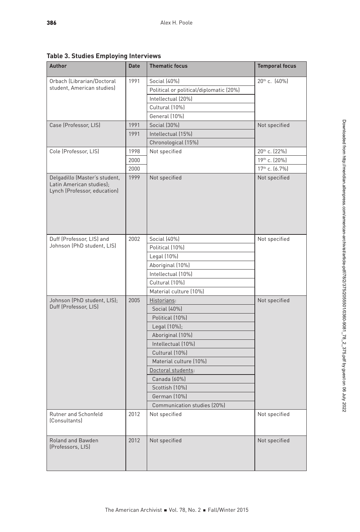386

| Author                                                   | Date | <b>Thematic focus</b>                   | <b>Temporal focus</b>     |
|----------------------------------------------------------|------|-----------------------------------------|---------------------------|
| Orbach (Librarian/Doctoral                               | 1991 | Social (40%)                            | $20^{th}$ c. $(40\%)$     |
| student, American studies)                               |      | Political or political/diplomatic (20%) |                           |
|                                                          |      | Intellectual (20%)                      |                           |
|                                                          |      | Cultural (10%)                          |                           |
|                                                          |      | General (10%)                           |                           |
| Case (Professor, LIS)                                    | 1991 | Social (30%)                            | Not specified             |
|                                                          | 1991 | Intellectual (15%)                      |                           |
|                                                          |      | Chronological (15%)                     |                           |
| Cole (Professor, LIS)                                    | 1998 | Not specified                           | 20 <sup>th</sup> c. (22%) |
|                                                          | 2000 |                                         | 19th c. (20%)             |
|                                                          | 2000 |                                         | 17th c. (6.7%)            |
| Delgadillo (Master's student,                            | 1999 | Not specified                           | Not specified             |
| Latin American studies);<br>Lynch (Professor, education) |      |                                         |                           |
|                                                          | 2002 | Social (40%)                            | Not specified             |
| Johnson (PhD student, LIS)                               |      | Political (10%)                         |                           |
| Duff (Professor, LIS) and                                |      | Legal (10%)                             |                           |
|                                                          |      | Aboriginal (10%)                        |                           |
| Johnson (PhD student, LIS);                              |      | Intellectual (10%)                      |                           |
|                                                          |      | Cultural (10%)                          |                           |
|                                                          |      | Material culture (10%)                  |                           |
|                                                          | 2005 | Historians:                             | Not specified             |
| Duff (Professor, LIS)                                    |      | Social (40%)                            |                           |
|                                                          |      | Political (10%)                         |                           |
|                                                          |      | Legal (10%);                            |                           |
|                                                          |      | Aboriginal (10%)                        |                           |
|                                                          |      | Intellectual (10%)                      |                           |
|                                                          |      | Cultural (10%)                          |                           |
|                                                          |      | Material culture (10%)                  |                           |
|                                                          |      | Doctoral students:                      |                           |
|                                                          |      | Canada (60%)                            |                           |
|                                                          |      | Scottish (10%)                          |                           |
|                                                          |      | German (10%)                            |                           |
|                                                          |      | Communication studies (20%)             |                           |
|                                                          |      |                                         |                           |
| Rutner and Schonfeld<br>(Consultants)                    | 2012 | Not specified                           | Not specified             |
| Roland and Bawden<br>(Professors, LIS)                   | 2012 | Not specified                           | Not specified             |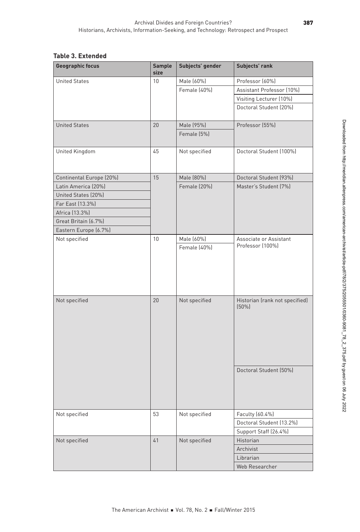## **Table 3. Extended**

| <b>Geographic focus</b>  | Subjects' gender<br>Sample<br>size | Subjects' rank                             |
|--------------------------|------------------------------------|--------------------------------------------|
| <b>United States</b>     | Male (60%)<br>10                   | Professor (60%)                            |
|                          | Female (40%)                       | Assistant Professor (10%)                  |
|                          |                                    | Visiting Lecturer (10%)                    |
|                          |                                    | Doctoral Student (20%)                     |
| <b>United States</b>     | 20<br>Male (95%)                   | Professor (55%)                            |
|                          | Female (5%)                        |                                            |
| United Kingdom           | 45<br>Not specified                | Doctoral Student (100%)                    |
| Continental Europe (20%) | 15<br>Male (80%)                   | Doctoral Student (93%)                     |
| Latin America (20%)      | Female (20%)                       | Master's Student (7%)                      |
| United States (20%)      |                                    |                                            |
| Far East (13.3%)         |                                    |                                            |
| Africa (13.3%)           |                                    |                                            |
| Great Britain (6.7%)     |                                    |                                            |
| Eastern Europe (6.7%)    |                                    |                                            |
| Not specified            | Male (60%)<br>10                   | Associate or Assistant<br>Professor (100%) |
|                          | Female (40%)                       |                                            |
| Not specified            | 20<br>Not specified                | Historian (rank not specified)<br>$(50\%)$ |
|                          |                                    | Doctoral Student (50%)                     |
| Not specified            | 53<br>Not specified                | Faculty (60.4%)                            |
|                          |                                    | Doctoral Student (13.2%)                   |
|                          |                                    | Support Staff (26.4%)                      |
| Not specified            | 41<br>Not specified                | Historian                                  |
|                          |                                    | Archivist                                  |
|                          |                                    | Librarian                                  |
|                          |                                    | Web Researcher                             |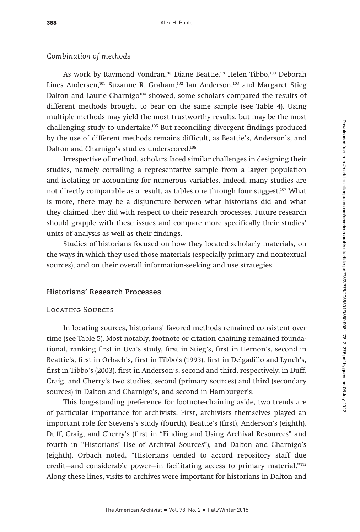# *Combination of methods*

As work by Raymond Vondran,<sup>98</sup> Diane Beattie,<sup>99</sup> Helen Tibbo,<sup>100</sup> Deborah Lines Andersen,<sup>101</sup> Suzanne R. Graham,<sup>102</sup> Ian Anderson,<sup>103</sup> and Margaret Stieg Dalton and Laurie Charnigo<sup>104</sup> showed, some scholars compared the results of different methods brought to bear on the same sample (see Table 4). Using multiple methods may yield the most trustworthy results, but may be the most challenging study to undertake.105 But reconciling divergent findings produced by the use of different methods remains difficult, as Beattie's, Anderson's, and Dalton and Charnigo's studies underscored.106

Irrespective of method, scholars faced similar challenges in designing their studies, namely corralling a representative sample from a larger population and isolating or accounting for numerous variables. Indeed, many studies are not directly comparable as a result, as tables one through four suggest.<sup>107</sup> What is more, there may be a disjuncture between what historians did and what they claimed they did with respect to their research processes. Future research should grapple with these issues and compare more specifically their studies' units of analysis as well as their findings.

Studies of historians focused on how they located scholarly materials, on the ways in which they used those materials (especially primary and nontextual sources), and on their overall information-seeking and use strategies.

#### **Historians' Research Processes**

# Locating Sources

In locating sources, historians' favored methods remained consistent over time (see Table 5). Most notably, footnote or citation chaining remained foundational, ranking first in Uva's study, first in Stieg's, first in Hernon's, second in Beattie's, first in Orbach's, first in Tibbo's (1993), first in Delgadillo and Lynch's, first in Tibbo's (2003), first in Anderson's, second and third, respectively, in Duff, Craig, and Cherry's two studies, second (primary sources) and third (secondary sources) in Dalton and Charnigo's, and second in Hamburger's.

This long-standing preference for footnote-chaining aside, two trends are of particular importance for archivists. First, archivists themselves played an important role for Stevens's study (fourth), Beattie's (first), Anderson's (eighth), Duff, Craig, and Cherry's (first in "Finding and Using Archival Resources" and fourth in "Historians' Use of Archival Sources"), and Dalton and Charnigo's (eighth). Orbach noted, "Historians tended to accord repository staff due credit—and considerable power—in facilitating access to primary material."112 Along these lines, visits to archives were important for historians in Dalton and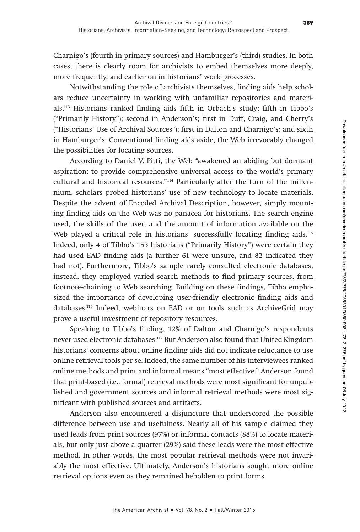Charnigo's (fourth in primary sources) and Hamburger's (third) studies. In both cases, there is clearly room for archivists to embed themselves more deeply, more frequently, and earlier on in historians' work processes.

Notwithstanding the role of archivists themselves, finding aids help scholars reduce uncertainty in working with unfamiliar repositories and materials.113 Historians ranked finding aids fifth in Orbach's study; fifth in Tibbo's ("Primarily History"); second in Anderson's; first in Duff, Craig, and Cherry's ("Historians' Use of Archival Sources"); first in Dalton and Charnigo's; and sixth in Hamburger's. Conventional finding aids aside, the Web irrevocably changed the possibilities for locating sources.

According to Daniel V. Pitti, the Web "awakened an abiding but dormant aspiration: to provide comprehensive universal access to the world's primary cultural and historical resources."114 Particularly after the turn of the millennium, scholars probed historians' use of new technology to locate materials. Despite the advent of Encoded Archival Description, however, simply mounting finding aids on the Web was no panacea for historians. The search engine used, the skills of the user, and the amount of information available on the Web played a critical role in historians' successfully locating finding aids.<sup>115</sup> Indeed, only 4 of Tibbo's 153 historians ("Primarily History") were certain they had used EAD finding aids (a further 61 were unsure, and 82 indicated they had not). Furthermore, Tibbo's sample rarely consulted electronic databases; instead, they employed varied search methods to find primary sources, from footnote-chaining to Web searching. Building on these findings, Tibbo emphasized the importance of developing user-friendly electronic finding aids and databases.116 Indeed, webinars on EAD or on tools such as ArchiveGrid may prove a useful investment of repository resources.

Speaking to Tibbo's finding, 12% of Dalton and Charnigo's respondents never used electronic databases.117 But Anderson also found that United Kingdom historians' concerns about online finding aids did not indicate reluctance to use online retrieval tools per se. Indeed, the same number of his interviewees ranked online methods and print and informal means "most effective." Anderson found that print-based (i.e., formal) retrieval methods were most significant for unpublished and government sources and informal retrieval methods were most significant with published sources and artifacts.

Anderson also encountered a disjuncture that underscored the possible difference between use and usefulness. Nearly all of his sample claimed they used leads from print sources (97%) or informal contacts (88%) to locate materials, but only just above a quarter (29%) said these leads were the most effective method. In other words, the most popular retrieval methods were not invariably the most effective. Ultimately, Anderson's historians sought more online retrieval options even as they remained beholden to print forms.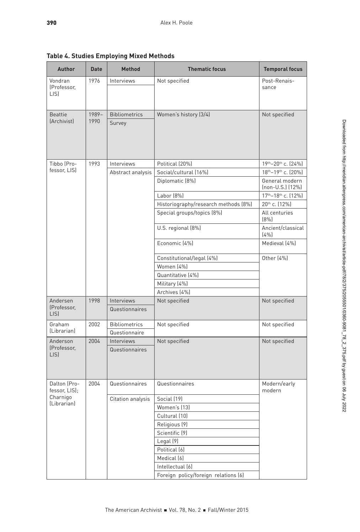**Table 4. Studies Employing Mixed Methods** 

| Author                        | Date  | Method            | <b>Thematic focus</b>                                              | <b>Temporal focus</b>                      |
|-------------------------------|-------|-------------------|--------------------------------------------------------------------|--------------------------------------------|
| Vondran                       | 1976  | Interviews        | Not specified                                                      | Post-Renais-                               |
| (Professor,                   |       |                   |                                                                    | sance                                      |
| LIS)                          |       |                   |                                                                    |                                            |
|                               |       |                   |                                                                    |                                            |
| Beattie                       | 1989- | Bibliometrics     | Women's history (3/4)                                              | Not specified                              |
| (Archivist)                   | 1990  | Survey            |                                                                    |                                            |
|                               |       |                   |                                                                    |                                            |
|                               |       |                   |                                                                    |                                            |
|                               |       |                   |                                                                    |                                            |
| Tibbo (Pro-                   | 1993  | Interviews        | Political (20%)                                                    | 19th-20th c. (24%)                         |
| fessor, LIS)                  |       |                   | Abstract analysis   Social/cultural (16%)                          | 18th-19th c. (20%)                         |
|                               |       |                   | Diplomatic (8%)                                                    | General modern                             |
|                               |       |                   |                                                                    | (non-U.S.) (12%)                           |
|                               |       |                   | Labor (8%)                                                         | 17th-18th c. (12%)                         |
|                               |       |                   | Historiography/research methods (8%)<br>Special groups/topics (8%) | 20 <sup>th</sup> c. (12%)<br>All centuries |
|                               |       |                   |                                                                    | (8%)                                       |
|                               |       |                   | U.S. regional (8%)                                                 | Ancient/classical                          |
|                               |       |                   |                                                                    | (4%                                        |
|                               |       |                   | Economic (4%)                                                      | Medieval (4%)                              |
|                               |       |                   | Constitutional/legal (4%)                                          | Other (4%)                                 |
|                               |       |                   | Women (4%)                                                         |                                            |
|                               |       |                   | Quantitative (4%)                                                  |                                            |
|                               |       |                   | Military (4%)                                                      |                                            |
|                               |       |                   | Archives (4%)                                                      |                                            |
| Andersen<br>(Professor,       | 1998  | Interviews        | Not specified                                                      | Not specified                              |
| LIS)                          |       | Questionnaires    |                                                                    |                                            |
| Graham                        | 2002  | Bibliometrics     | Not specified                                                      | Not specified                              |
| (Librarian)                   |       | Questionnaire     |                                                                    |                                            |
| Anderson                      | 2004  | Interviews        | Not specified                                                      | Not specified                              |
| (Professor,<br>LIS)           |       | Questionnaires    |                                                                    |                                            |
|                               |       |                   |                                                                    |                                            |
|                               |       |                   |                                                                    |                                            |
|                               |       |                   |                                                                    |                                            |
| Dalton (Pro-<br>fessor, LIS); | 2004  | Questionnaires    | Questionnaires                                                     | Modern/early<br>modern                     |
| Charnigo                      |       | Citation analysis | Social (19)                                                        |                                            |
| (Librarian)                   |       |                   | Women's (13)                                                       |                                            |
|                               |       |                   | Cultural (10)                                                      |                                            |
|                               |       |                   | Religious (9)                                                      |                                            |
|                               |       |                   | Scientific (9)                                                     |                                            |
|                               |       |                   | Legal (9)                                                          |                                            |
|                               |       |                   | Political (6)                                                      |                                            |
|                               |       |                   | Medical (6)                                                        |                                            |
|                               |       |                   | Intellectual (6)                                                   |                                            |
|                               |       |                   | Foreign policy/foreign relations [6]                               |                                            |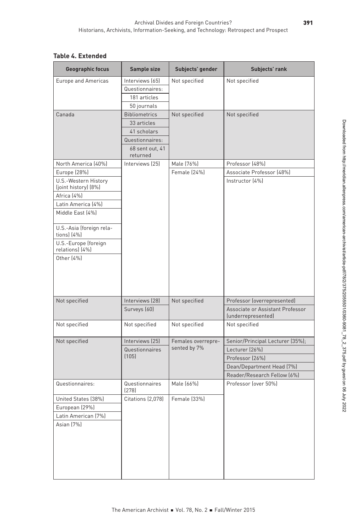## **Table 4. Extended**

| <b>Geographic focus</b><br>Subjects' gender<br>Subjects' rank<br>Sample size               |  |
|--------------------------------------------------------------------------------------------|--|
| Interviews (65)<br>Not specified<br>Not specified<br>Europe and Americas                   |  |
| Questionnaires:                                                                            |  |
| 181 articles                                                                               |  |
| 50 journals                                                                                |  |
| Not specified<br>Canada<br><b>Bibliometrics</b><br>Not specified                           |  |
| 33 articles                                                                                |  |
| 41 scholars                                                                                |  |
| Questionnaires:                                                                            |  |
| 68 sent out, 41<br>returned                                                                |  |
| Male (76%)<br>Professor (48%)<br>North America (40%)<br>Interviews (25)                    |  |
| Associate Professor (48%)<br>Europe (28%)<br>Female (24%)                                  |  |
| U.S.-Western History<br>Instructor (4%)                                                    |  |
| (joint history) (8%)                                                                       |  |
| Africa (4%)                                                                                |  |
| Latin America (4%)                                                                         |  |
| Middle East (4%)                                                                           |  |
|                                                                                            |  |
| U.S.-Asia (foreign rela-<br>tions) (4%)                                                    |  |
| U.S.-Europe (foreign<br>relations) (4%)                                                    |  |
| Other (4%)                                                                                 |  |
| Interviews (28)<br>Professor (overrepresented)<br>Not specified<br>Not specified           |  |
| Surveys (60)<br>Associate or Assistant Professor<br>(underrepresented)                     |  |
| Not specified<br>Not specified<br>Not specified<br>Not specified                           |  |
| Senior/Principal Lecturer (35%);<br>Not specified<br>Interviews (25)<br>Females overrepre- |  |
| sented by 7%<br>Lecturer (26%)<br>Questionnaires                                           |  |
| (105)<br>Professor (26%)                                                                   |  |
| Dean/Department Head (7%)                                                                  |  |
| Reader/Research Fellow (6%)                                                                |  |
| Male (66%)<br>Professor (over 50%)<br>Questionnaires:<br>Questionnaires<br>(278)           |  |
| United States (38%)<br>Citations (2,078)<br>Female (33%)                                   |  |
| European (29%)                                                                             |  |
| Latin American (7%)                                                                        |  |
|                                                                                            |  |
|                                                                                            |  |
|                                                                                            |  |
|                                                                                            |  |
| Asian (7%)                                                                                 |  |
|                                                                                            |  |
|                                                                                            |  |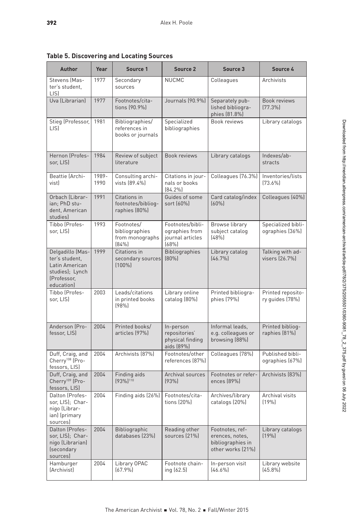**Table 5. Discovering and Locating Sources** 

| <b>Author</b>                                                                                            | Year          | Source 1                                                                   | Source 2                                                     | Source 3                                                                     | Source 4                              |
|----------------------------------------------------------------------------------------------------------|---------------|----------------------------------------------------------------------------|--------------------------------------------------------------|------------------------------------------------------------------------------|---------------------------------------|
| Stevens (Mas-<br>ter's student.<br>LIS)                                                                  | 1977          | Secondary<br>sources                                                       | <b>NUCMC</b>                                                 | Colleagues                                                                   | Archivists                            |
| Uva (Librarian)                                                                                          | 1977          | Footnotes/cita-<br>tions (90.9%)                                           | Journals (90.9%)                                             | Separately pub-<br>lished bibliogra-<br>phies (81.8%)                        | Book reviews<br>$[77.3\%]$            |
| Stieg (Professor, 1981<br>LIS)                                                                           |               | Bibliographies/<br>references in<br>books or journals                      | Specialized<br>bibliographies                                | Book reviews                                                                 | Library catalogs                      |
| Hernon (Profes-<br>sor, LIS)                                                                             | 1984          | Review of subject<br>literature                                            | Book reviews                                                 | Library catalogs                                                             | Indexes/ab-<br>stracts                |
| Beattie (Archi-<br>vist)                                                                                 | 1989-<br>1990 | Consulting archi-<br>vists (89.4%)                                         | Citations in jour-<br>nals or books<br>$[84.2\%]$            | Colleagues (76.3%)                                                           | Inventories/lists<br>$[73.6\%]$       |
| Orbach (Librar-<br>ian; PhD stu-<br>dent, American<br>studies)                                           | 1991          | Citations in<br>footnotes/bibliog-<br>raphies (80%)                        | Guides of some<br>sort (60%)                                 | Card catalog/index<br>(60%                                                   | Colleagues (40%)                      |
| Tibbo (Profes-<br>sor, LIS)                                                                              | 1993          | Footnotes/<br>bibliographies<br>from monographs   journal articles<br>(84% | Footnotes/bibli-<br>ographies from<br>(68%)                  | Browse library<br>subject catalog<br>(48%                                    | Specialized bibli-<br>ographies (36%) |
| Delgadillo (Mas-1999<br>ter's student,<br>Latin American<br>studies); Lynch<br>(Professor,<br>education) |               | Citations in<br>secondary sources [80%]<br>$(100\%)$                       | Bibliographies                                               | Library catalog<br>[46.7%]                                                   | Talking with ad-<br>visers (26.7%)    |
| Tibbo (Profes-<br>sor, LIS)                                                                              | 2003          | Leads/citations<br>in printed books<br>(98%                                | Library online<br>catalog (80%)                              | Printed bibliogra-<br>phies (79%)                                            | Printed reposito-<br>ry guides (78%)  |
| Anderson (Pro-<br>fessor, LIS)                                                                           | 2004          | Printed books/<br>articles (97%)                                           | In-person<br>repositories'<br>physical finding<br>aids (89%) | Informal leads,<br>e.g. colleagues or<br>browsing (88%)                      | Printed bibliog-<br>raphies (81%)     |
| Duff, Craig, and<br>Cherry <sup>108</sup> (Pro-<br>fessors, LIS)                                         | 2004          | Archivists [87%]                                                           | Footnotes/other<br>references (87%)                          | Colleagues (78%)                                                             | Published bibli-<br>ographies (67%)   |
| Duff, Craig, and<br>Cherry <sup>109</sup> (Pro-<br>fessors, LIS)                                         | 2004          | Finding aids<br>$(93\%)$ <sup>110</sup>                                    | Archival sources<br>(93%                                     | Footnotes or refer-<br>ences (89%)                                           | Archivists (83%)                      |
| Dalton (Profes-<br>sor, LIS); Char-<br>nigo (Librar-<br>ian) (primary<br>sources)                        | 2004          | Finding aids (26%)   Footnotes/cita-                                       | tions (20%)                                                  | Archives/library<br>catalogs (20%)                                           | Archival visits<br>(19%               |
| Dalton (Profes-<br>sor, LIS); Char-<br>nigo (Librarian)<br>(secondary<br>sources)                        | 2004          | Bibliographic<br>databases (23%)                                           | Reading other<br>sources (21%)                               | Footnotes, ref-<br>erences, notes,<br>bibliographies in<br>other works (21%) | Library catalogs<br>(19%              |
| Hamburger<br>(Archivist)                                                                                 | 2004          | Library OPAC<br>(67.9%                                                     | Footnote chain-<br>ing (62.5)                                | In-person visit<br>$[46.6\%]$                                                | Library website<br>$(45.8\%)$         |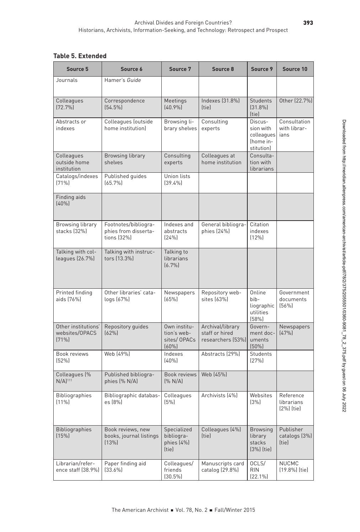# **Table 5. Extended**

| Source 5                                          | Source 6                                                    | Source 7                                           | Source 8                                                       | Source 9                                                          | Source 10                                |
|---------------------------------------------------|-------------------------------------------------------------|----------------------------------------------------|----------------------------------------------------------------|-------------------------------------------------------------------|------------------------------------------|
| Journals                                          | Hamer's Guide                                               |                                                    |                                                                |                                                                   |                                          |
| Colleagues<br>$(72.7\%)$                          | Correspondence<br>$(54.5\%)$                                | Meetings<br>$(40.9\%)$                             | Indexes (31.8%)<br>(tie)                                       | Students<br>$(31.8\%)$<br>(tie)                                   | Other (22.7%)                            |
| Abstracts or<br>indexes                           | Colleagues (outside<br>home institution)                    | Browsing li-<br>$brary$ shelves $experts$          | Consulting                                                     | Discus-<br>sion with<br>colleagues ans<br>(home in-<br>stitution) | Consultation<br>with librar-             |
| Colleagues<br>outside home<br>institution         | <b>Browsing library</b><br>shelves                          | Consulting<br>experts                              | Colleagues at<br>home institution                              | Consulta-<br>tion with<br>librarians                              |                                          |
| Catalogs/indexes<br>$(71\%)$                      | Published guides<br>$(65.7\%)$                              | Union lists<br>$(39.4\%)$                          |                                                                |                                                                   |                                          |
| Finding aids<br>(40%                              |                                                             |                                                    |                                                                |                                                                   |                                          |
| <b>Browsing library</b><br>stacks (32%)           | Footnotes/bibliogra-<br>phies from disserta-<br>tions (32%) | Indexes and<br>abstracts<br>[24%]                  | General bibliogra-<br>phies (24%)                              | Citation<br>indexes<br>$(12\%)$                                   |                                          |
| Talking with col-<br>leagues (26.7%)              | Talking with instruc-<br>tors (13.3%)                       | Talking to<br>librarians<br>(6.7%)                 |                                                                |                                                                   |                                          |
| Printed finding<br>aids (76%)                     | Other libraries' cata-<br>logs (67%)                        | Newspapers<br>(65%)                                | Repository web-<br>sites (63%)                                 | Online<br>bib-<br>liographic<br>utilities<br>(58%)                | Government<br>documents<br>(56%)         |
| Other institutions'<br>websites/OPACS<br>(71%     | Repository guides<br>(62%)                                  | Own institu-<br>tion's web-<br>sites/OPACs<br>(60% | Archival/library<br>staff or hired<br>researchers (53%) uments | Govern-<br>ment doc-<br>$(50\%)$                                  | Newspapers<br>(47%)                      |
| Book reviews<br>(52%)                             | Web (49%)                                                   | Indexes<br>(40%                                    | Abstracts (29%)                                                | Students<br>(27%)                                                 |                                          |
| Colleagues <sup>[%]</sup><br>$N/A$ <sup>111</sup> | Published bibliogra-<br>phies (% N/A)                       | [% N/A]                                            | Book reviews   Web (45%)                                       |                                                                   |                                          |
| Bibliographies<br>$(11\%)$                        | Bibliographic databas-<br>es (8%)                           | Colleagues<br>(5%)                                 | Archivists (4%)                                                | Websites<br>(3%)                                                  | Reference<br>librarians<br>$(2\%)$ (tie) |
| Bibliographies<br>(15%)                           | Book reviews, new<br>books, journal listings<br>(13%)       | Specialized<br>bibliogra-<br>phies (4%)<br>(tie)   | Colleagues (4%)<br>(tie)                                       | Browsing<br>library<br>stacks<br>(3%) (tie)                       | Publisher<br>catalogs (3%)<br>(tie)      |
| Librarian/refer-                                  | Paper finding aid<br>ence staff (38.9%) [33.6%]             | Colleagues/<br>friends<br>$(30.5\%)$               | Manuscripts card<br>catalog (29.8%)                            | OCLS/<br><b>RIN</b><br>[22.1%]                                    | <b>NUCMC</b><br>(19.8%) (tie)            |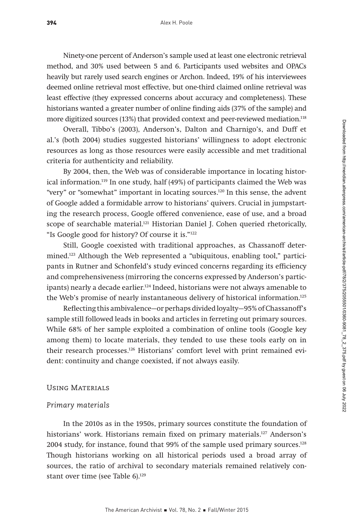Ninety-one percent of Anderson's sample used at least one electronic retrieval method, and 30% used between 5 and 6. Participants used websites and OPACs heavily but rarely used search engines or Archon. Indeed, 19% of his interviewees deemed online retrieval most effective, but one-third claimed online retrieval was least effective (they expressed concerns about accuracy and completeness). These historians wanted a greater number of online finding aids (37% of the sample) and more digitized sources (13%) that provided context and peer-reviewed mediation.118

Overall, Tibbo's (2003), Anderson's, Dalton and Charnigo's, and Duff et al.'s (both 2004) studies suggested historians' willingness to adopt electronic resources as long as those resources were easily accessible and met traditional criteria for authenticity and reliability.

By 2004, then, the Web was of considerable importance in locating historical information.119 In one study, half (49%) of participants claimed the Web was "very" or "somewhat" important in locating sources.120 In this sense, the advent of Google added a formidable arrow to historians' quivers. Crucial in jumpstarting the research process, Google offered convenience, ease of use, and a broad scope of searchable material.<sup>121</sup> Historian Daniel J. Cohen queried rhetorically, "Is Google good for history? Of course it is."122

Still, Google coexisted with traditional approaches, as Chassanoff determined.123 Although the Web represented a "ubiquitous, enabling tool," participants in Rutner and Schonfeld's study evinced concerns regarding its efficiency and comprehensiveness (mirroring the concerns expressed by Anderson's participants) nearly a decade earlier.124 Indeed, historians were not always amenable to the Web's promise of nearly instantaneous delivery of historical information.125

Reflecting this ambivalence—or perhaps divided loyalty—95% of Chassanoff's sample still followed leads in books and articles in ferreting out primary sources. While 68% of her sample exploited a combination of online tools (Google key among them) to locate materials, they tended to use these tools early on in their research processes.126 Historians' comfort level with print remained evident: continuity and change coexisted, if not always easily.

### Using Materials

### *Primary materials*

In the 2010s as in the 1950s, primary sources constitute the foundation of historians' work. Historians remain fixed on primary materials.<sup>127</sup> Anderson's 2004 study, for instance, found that 99% of the sample used primary sources.128 Though historians working on all historical periods used a broad array of sources, the ratio of archival to secondary materials remained relatively constant over time (see Table 6).<sup>129</sup>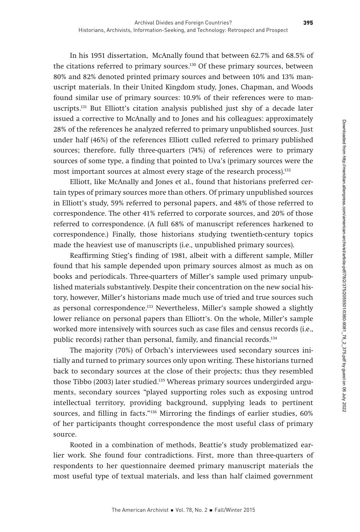In his 1951 dissertation, McAnally found that between 62.7% and 68.5% of the citations referred to primary sources.<sup>130</sup> Of these primary sources, between 80% and 82% denoted printed primary sources and between 10% and 13% manuscript materials. In their United Kingdom study, Jones, Chapman, and Woods found similar use of primary sources: 10.9% of their references were to manuscripts.131 But Elliott's citation analysis published just shy of a decade later issued a corrective to McAnally and to Jones and his colleagues: approximately 28% of the references he analyzed referred to primary unpublished sources. Just under half (46%) of the references Elliott culled referred to primary published sources; therefore, fully three-quarters (74%) of references were to primary sources of some type, a finding that pointed to Uva's (primary sources were the most important sources at almost every stage of the research process).<sup>132</sup>

Elliott, like McAnally and Jones et al., found that historians preferred certain types of primary sources more than others. Of primary unpublished sources in Elliott's study, 59% referred to personal papers, and 48% of those referred to correspondence. The other 41% referred to corporate sources, and 20% of those referred to correspondence. (A full 68% of manuscript references harkened to correspondence.) Finally, those historians studying twentieth-century topics made the heaviest use of manuscripts (i.e., unpublished primary sources).

Reaffirming Stieg's finding of 1981, albeit with a different sample, Miller found that his sample depended upon primary sources almost as much as on books and periodicals. Three-quarters of Miller's sample used primary unpublished materials substantively. Despite their concentration on the new social history, however, Miller's historians made much use of tried and true sources such as personal correspondence.<sup>133</sup> Nevertheless, Miller's sample showed a slightly lower reliance on personal papers than Elliott's. On the whole, Miller's sample worked more intensively with sources such as case files and census records (i.e., public records) rather than personal, family, and financial records.134

The majority (70%) of Orbach's interviewees used secondary sources initially and turned to primary sources only upon writing. These historians turned back to secondary sources at the close of their projects; thus they resembled those Tibbo (2003) later studied.135 Whereas primary sources undergirded arguments, secondary sources "played supporting roles such as exposing untrod intellectual territory, providing background, supplying leads to pertinent sources, and filling in facts."136 Mirroring the findings of earlier studies, 60% of her participants thought correspondence the most useful class of primary source.

Rooted in a combination of methods, Beattie's study problematized earlier work. She found four contradictions. First, more than three-quarters of respondents to her questionnaire deemed primary manuscript materials the most useful type of textual materials, and less than half claimed government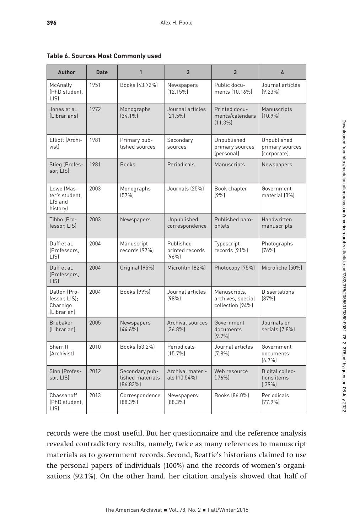| Author                                                   | <b>Date</b> | $\mathbf{1}$                                      | $\overline{2}$                        | $\overline{3}$                                        | $\mathbf{r}$                                  |
|----------------------------------------------------------|-------------|---------------------------------------------------|---------------------------------------|-------------------------------------------------------|-----------------------------------------------|
| McAnally<br>(PhD student,<br>LIS)                        | 1951        | Books (43.72%)                                    | Newspapers<br>$(12.15\%)$             | Public docu-<br>ments (10.16%)                        | Journal articles<br>$(9.23\%)$                |
| Jones et al.<br>(Librarians)                             | 1972        | Monographs<br>$[34.1\%]$                          | Journal articles<br>$(21.5\%)$        | Printed docu-<br>ments/calendars<br>$(11.3\%)$        | Manuscripts<br>$(10.9\%)$                     |
| Elliott (Archi-<br>vist)                                 | 1981        | Primary pub-<br>lished sources                    | Secondary<br>sources                  | Unpublished<br>primary sources<br>(personal)          | Unpublished<br>primary sources<br>(corporate) |
| Stieg (Profes-<br>sor, LIS)                              | 1981        | <b>Books</b>                                      | Periodicals                           | Manuscripts                                           | Newspapers                                    |
| Lowe (Mas-<br>ter's student.<br>LIS and<br>history)      | 2003        | Monographs<br>(57%)                               | Journals (25%)                        | Book chapter<br>(9%                                   | Government<br>material (3%)                   |
| Tibbo (Pro-<br>fessor, LIS)                              | 2003        | Newspapers                                        | Unpublished<br>correspondence         | Published pam-<br>phlets                              | Handwritten<br>manuscripts                    |
| Duff et al.<br>(Professors,<br>LIS)                      | 2004        | Manuscript<br>records (97%)                       | Published<br>printed records<br>[96%] | Typescript<br>records (91%)                           | Photographs<br>(76%)                          |
| Duff et al.<br>(Professors,<br>LIS)                      | 2004        | Original (95%)                                    | Microfilm (82%)                       | Photocopy (75%)                                       | Microfiche (50%)                              |
| Dalton (Pro-<br>fessor, LIS);<br>Charnigo<br>(Librarian) | 2004        | Books (99%)                                       | Journal articles<br>(98%              | Manuscripts,<br>archives, special<br>collection (94%) | <b>Dissertations</b><br>(87%)                 |
| Brubaker<br>(Librarian)                                  | 2005        | Newspapers<br>[44.6%]                             | Archival sources<br>[36.8%]           | Government<br>documents<br>(9.7%                      | Journals or<br>serials (7.8%)                 |
| Sherriff<br>(Archivist)                                  | 2010        | Books (53.2%)                                     | Periodicals<br>$(15.7\%)$             | Journal articles<br>$(7.8\%)$                         | Government<br>documents<br>(6.7%)             |
| Sinn (Profes-<br>sor, LIS)                               | 2012        | Secondary pub-<br>lished materials<br>$[86.83\%]$ | Archival materi-<br>als (10.54%)      | Web resource<br>$(.76\%)$                             | Digital collec-<br>tions items<br>$(.39\%)$   |
| Chassanoff<br>(PhD student,<br>LIS)                      | 2013        | Correspondence<br>$[88.3\%]$                      | Newspapers<br>[88.3%]                 | Books (86.0%)                                         | Periodicals<br>(77.9%                         |

**Table 6. Sources Most Commonly used** 

records were the most useful. But her questionnaire and the reference analysis revealed contradictory results, namely, twice as many references to manuscript materials as to government records. Second, Beattie's historians claimed to use the personal papers of individuals (100%) and the records of women's organizations (92.1%). On the other hand, her citation analysis showed that half of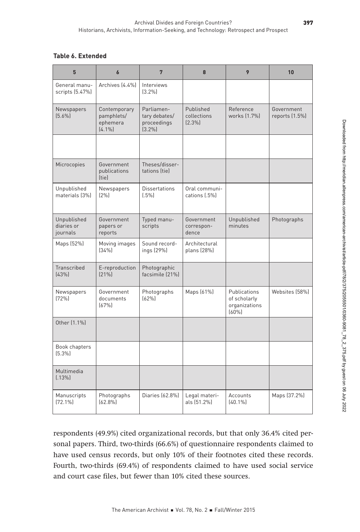# **Table 6. Extended**

| 8                                                                       | $7\phantom{.0}$                                         | $\boldsymbol{6}$                                    | $5\phantom{.0}$                       |
|-------------------------------------------------------------------------|---------------------------------------------------------|-----------------------------------------------------|---------------------------------------|
|                                                                         | Interviews<br>$(3.2\%)$                                 | Archives (4.4%)                                     | General manu-<br>scripts (5.47%)      |
| Reference<br>Published<br>works (1.7%)<br>collections<br>$(2.3\%)$      | Parliamen-<br>tary debates/<br>proceedings<br>$(3.2\%)$ | Contemporary<br>pamphlets/<br>ephemera<br>$(4.1\%)$ | Newspapers<br>$(5.6\%)$               |
|                                                                         |                                                         |                                                     |                                       |
|                                                                         | Theses/disser-<br>tations (tie)                         | Government<br>publications<br>[tie]                 | Microcopies                           |
| Oral communi-<br>cations (.5%)                                          | <b>Dissertations</b><br>$(.5\%)$                        | Newspapers<br>(2%)                                  | Unpublished<br>materials (3%)         |
| Government<br>correspon-<br>dence                                       | Typed manu-<br>scripts                                  | Government<br>papers or<br>reports                  | Unpublished<br>diaries or<br>journals |
| Architectural<br>plans (28%)                                            | Sound record-<br>ings (29%)                             | Moving images<br>(34%)                              | Maps (52%)                            |
|                                                                         | Photographic<br>facsimile (21%)                         | E-reproduction<br>$(21\%)$                          | Transcribed<br>(43%)                  |
| Publications<br>Maps (61%)<br>of scholarly<br>organizations<br>$(60\%)$ | Photographs<br>(62%)                                    | Government<br>documents<br>(67%)                    | Newspapers<br>(72%)                   |
|                                                                         |                                                         |                                                     | Other (1.1%)                          |
|                                                                         |                                                         |                                                     | Book chapters<br>$(5.3\%)$            |
|                                                                         |                                                         |                                                     | Multimedia<br>(.13%)                  |
| Accounts<br>Legal materi-<br>als (51.2%)<br>$(40.1\%)$                  | Diaries (62.8%)                                         | Photographs<br>$(62.8\%)$                           | Manuscripts<br>$(72.1\%)$             |

respondents (49.9%) cited organizational records, but that only 36.4% cited personal papers. Third, two-thirds (66.6%) of questionnaire respondents claimed to have used census records, but only 10% of their footnotes cited these records. Fourth, two-thirds (69.4%) of respondents claimed to have used social service and court case files, but fewer than 10% cited these sources.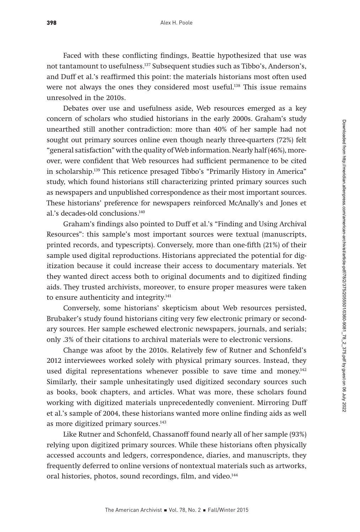Faced with these conflicting findings, Beattie hypothesized that use was not tantamount to usefulness.137 Subsequent studies such as Tibbo's, Anderson's, and Duff et al.'s reaffirmed this point: the materials historians most often used were not always the ones they considered most useful.<sup>138</sup> This issue remains unresolved in the 2010s.

Debates over use and usefulness aside, Web resources emerged as a key concern of scholars who studied historians in the early 2000s. Graham's study unearthed still another contradiction: more than 40% of her sample had not sought out primary sources online even though nearly three-quarters (72%) felt "general satisfaction" with the quality of Web information. Nearly half (46%), moreover, were confident that Web resources had sufficient permanence to be cited in scholarship.139 This reticence presaged Tibbo's "Primarily History in America" study, which found historians still characterizing printed primary sources such as newspapers and unpublished correspondence as their most important sources. These historians' preference for newspapers reinforced McAnally's and Jones et al.'s decades-old conclusions.140

Graham's findings also pointed to Duff et al.'s "Finding and Using Archival Resources": this sample's most important sources were textual (manuscripts, printed records, and typescripts). Conversely, more than one-fifth (21%) of their sample used digital reproductions. Historians appreciated the potential for digitization because it could increase their access to documentary materials. Yet they wanted direct access both to original documents and to digitized finding aids. They trusted archivists, moreover, to ensure proper measures were taken to ensure authenticity and integrity.<sup>141</sup>

Conversely, some historians' skepticism about Web resources persisted, Brubaker's study found historians citing very few electronic primary or secondary sources. Her sample eschewed electronic newspapers, journals, and serials; only .3% of their citations to archival materials were to electronic versions.

Change was afoot by the 2010s. Relatively few of Rutner and Schonfeld's 2012 interviewees worked solely with physical primary sources. Instead, they used digital representations whenever possible to save time and money.<sup>142</sup> Similarly, their sample unhesitatingly used digitized secondary sources such as books, book chapters, and articles. What was more, these scholars found working with digitized materials unprecedentedly convenient. Mirroring Duff et al.'s sample of 2004, these historians wanted more online finding aids as well as more digitized primary sources.<sup>143</sup>

Like Rutner and Schonfeld, Chassanoff found nearly all of her sample (93%) relying upon digitized primary sources. While these historians often physically accessed accounts and ledgers, correspondence, diaries, and manuscripts, they frequently deferred to online versions of nontextual materials such as artworks, oral histories, photos, sound recordings, film, and video.<sup>144</sup>

398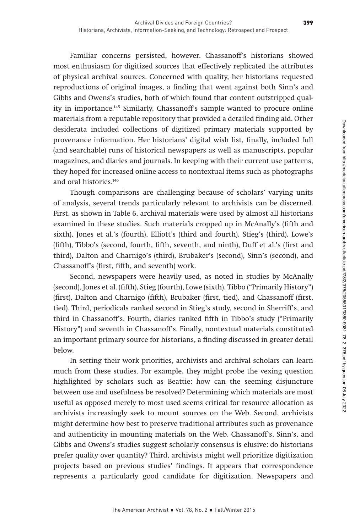Familiar concerns persisted, however. Chassanoff's historians showed most enthusiasm for digitized sources that effectively replicated the attributes of physical archival sources. Concerned with quality, her historians requested reproductions of original images, a finding that went against both Sinn's and Gibbs and Owens's studies, both of which found that content outstripped quality in importance.145 Similarly, Chassanoff's sample wanted to procure online materials from a reputable repository that provided a detailed finding aid. Other desiderata included collections of digitized primary materials supported by provenance information. Her historians' digital wish list, finally, included full (and searchable) runs of historical newspapers as well as manuscripts, popular magazines, and diaries and journals. In keeping with their current use patterns, they hoped for increased online access to nontextual items such as photographs and oral histories.146

Though comparisons are challenging because of scholars' varying units of analysis, several trends particularly relevant to archivists can be discerned. First, as shown in Table 6, archival materials were used by almost all historians examined in these studies. Such materials cropped up in McAnally's (fifth and sixth), Jones et al.'s (fourth), Elliott's (third and fourth), Stieg's (third), Lowe's (fifth), Tibbo's (second, fourth, fifth, seventh, and ninth), Duff et al.'s (first and third), Dalton and Charnigo's (third), Brubaker's (second), Sinn's (second), and Chassanoff's (first, fifth, and seventh) work.

Second, newspapers were heavily used, as noted in studies by McAnally (second), Jones et al. (fifth), Stieg (fourth), Lowe (sixth), Tibbo ("Primarily History") (first), Dalton and Charnigo (fifth), Brubaker (first, tied), and Chassanoff (first, tied). Third, periodicals ranked second in Stieg's study, second in Sherriff's, and third in Chassanoff's. Fourth, diaries ranked fifth in Tibbo's study ("Primarily History") and seventh in Chassanoff's. Finally, nontextual materials constituted an important primary source for historians, a finding discussed in greater detail below.

In setting their work priorities, archivists and archival scholars can learn much from these studies. For example, they might probe the vexing question highlighted by scholars such as Beattie: how can the seeming disjuncture between use and usefulness be resolved? Determining which materials are most useful as opposed merely to most used seems critical for resource allocation as archivists increasingly seek to mount sources on the Web. Second, archivists might determine how best to preserve traditional attributes such as provenance and authenticity in mounting materials on the Web. Chassanoff's, Sinn's, and Gibbs and Owens's studies suggest scholarly consensus is elusive: do historians prefer quality over quantity? Third, archivists might well prioritize digitization projects based on previous studies' findings. It appears that correspondence represents a particularly good candidate for digitization. Newspapers and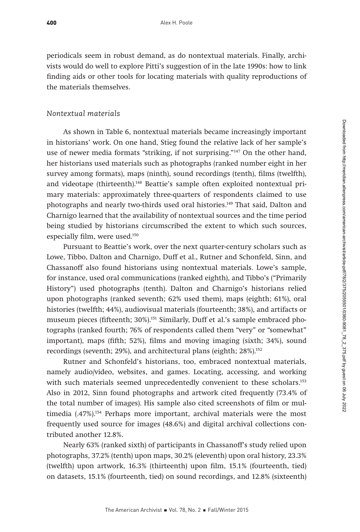periodicals seem in robust demand, as do nontextual materials. Finally, archivists would do well to explore Pitti's suggestion of in the late 1990s: how to link finding aids or other tools for locating materials with quality reproductions of the materials themselves.

### *Nontextual materials*

As shown in Table 6, nontextual materials became increasingly important in historians' work. On one hand, Stieg found the relative lack of her sample's use of newer media formats "striking, if not surprising."<sup>147</sup> On the other hand, her historians used materials such as photographs (ranked number eight in her survey among formats), maps (ninth), sound recordings (tenth), films (twelfth), and videotape (thirteenth).<sup>148</sup> Beattie's sample often exploited nontextual primary materials: approximately three-quarters of respondents claimed to use photographs and nearly two-thirds used oral histories.149 That said, Dalton and Charnigo learned that the availability of nontextual sources and the time period being studied by historians circumscribed the extent to which such sources, especially film, were used.<sup>150</sup>

Pursuant to Beattie's work, over the next quarter-century scholars such as Lowe, Tibbo, Dalton and Charnigo, Duff et al., Rutner and Schonfeld, Sinn, and Chassanoff also found historians using nontextual materials. Lowe's sample, for instance, used oral communications (ranked eighth), and Tibbo's ("Primarily History") used photographs (tenth). Dalton and Charnigo's historians relied upon photographs (ranked seventh; 62% used them), maps (eighth; 61%), oral histories (twelfth; 44%), audiovisual materials (fourteenth; 38%), and artifacts or museum pieces (fifteenth; 30%).<sup>151</sup> Similarly, Duff et al.'s sample embraced photographs (ranked fourth; 76% of respondents called them "very" or "somewhat" important), maps (fifth; 52%), films and moving imaging (sixth; 34%), sound recordings (seventh; 29%), and architectural plans (eighth; 28%).<sup>152</sup>

Rutner and Schonfeld's historians, too, embraced nontextual materials, namely audio/video, websites, and games. Locating, accessing, and working with such materials seemed unprecedentedly convenient to these scholars.<sup>153</sup> Also in 2012, Sinn found photographs and artwork cited frequently (73.4% of the total number of images). His sample also cited screenshots of film or multimedia (.47%).154 Perhaps more important, archival materials were the most frequently used source for images (48.6%) and digital archival collections contributed another 12.8%.

Nearly 63% (ranked sixth) of participants in Chassanoff's study relied upon photographs, 37.2% (tenth) upon maps, 30.2% (eleventh) upon oral history, 23.3% (twelfth) upon artwork, 16.3% (thirteenth) upon film, 15.1% (fourteenth, tied) on datasets, 15.1% (fourteenth, tied) on sound recordings, and 12.8% (sixteenth)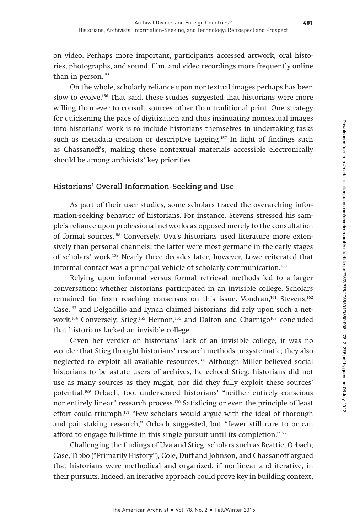on video. Perhaps more important, participants accessed artwork, oral histories, photographs, and sound, film, and video recordings more frequently online than in person.<sup>155</sup>

On the whole, scholarly reliance upon nontextual images perhaps has been slow to evolve.<sup>156</sup> That said, these studies suggested that historians were more willing than ever to consult sources other than traditional print. One strategy for quickening the pace of digitization and thus insinuating nontextual images into historians' work is to include historians themselves in undertaking tasks such as metadata creation or descriptive tagging.<sup>157</sup> In light of findings such as Chassanoff's, making these nontextual materials accessible electronically should be among archivists' key priorities.

#### **Historians' Overall Information-Seeking and Use**

As part of their user studies, some scholars traced the overarching information-seeking behavior of historians. For instance, Stevens stressed his sample's reliance upon professional networks as opposed merely to the consultation of formal sources.158 Conversely, Uva's historians used literature more extensively than personal channels; the latter were most germane in the early stages of scholars' work.159 Nearly three decades later, however, Lowe reiterated that informal contact was a principal vehicle of scholarly communication.160

Relying upon informal versus formal retrieval methods led to a larger conversation: whether historians participated in an invisible college. Scholars remained far from reaching consensus on this issue. Vondran,<sup>161</sup> Stevens,<sup>162</sup> Case,163 and Delgadillo and Lynch claimed historians did rely upon such a network.<sup>164</sup> Conversely, Stieg,<sup>165</sup> Hernon,<sup>166</sup> and Dalton and Charnigo<sup>167</sup> concluded that historians lacked an invisible college.

Given her verdict on historians' lack of an invisible college, it was no wonder that Stieg thought historians' research methods unsystematic; they also neglected to exploit all available resources.168 Although Miller believed social historians to be astute users of archives, he echoed Stieg: historians did not use as many sources as they might, nor did they fully exploit these sources' potential.169 Orbach, too, underscored historians' "neither entirely conscious nor entirely linear" research process.170 Satisficing or even the principle of least effort could triumph.171 "Few scholars would argue with the ideal of thorough and painstaking research," Orbach suggested, but "fewer still care to or can afford to engage full-time in this single pursuit until its completion."172

Challenging the findings of Uva and Stieg, scholars such as Beattie, Orbach, Case, Tibbo ("Primarily History"), Cole, Duff and Johnson, and Chassanoff argued that historians were methodical and organized, if nonlinear and iterative, in their pursuits. Indeed, an iterative approach could prove key in building context,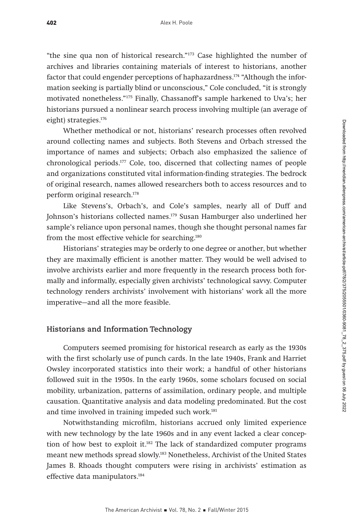"the sine qua non of historical research."173 Case highlighted the number of archives and libraries containing materials of interest to historians, another factor that could engender perceptions of haphazardness.<sup>174</sup> "Although the information seeking is partially blind or unconscious," Cole concluded, "it is strongly motivated nonetheless."175 Finally, Chassanoff's sample harkened to Uva's; her historians pursued a nonlinear search process involving multiple (an average of eight) strategies.176

Whether methodical or not, historians' research processes often revolved around collecting names and subjects. Both Stevens and Orbach stressed the importance of names and subjects; Orbach also emphasized the salience of chronological periods.177 Cole, too, discerned that collecting names of people and organizations constituted vital information-finding strategies. The bedrock of original research, names allowed researchers both to access resources and to perform original research.178

Like Stevens's, Orbach's, and Cole's samples, nearly all of Duff and Johnson's historians collected names.<sup>179</sup> Susan Hamburger also underlined her sample's reliance upon personal names, though she thought personal names far from the most effective vehicle for searching.<sup>180</sup>

Historians' strategies may be orderly to one degree or another, but whether they are maximally efficient is another matter. They would be well advised to involve archivists earlier and more frequently in the research process both formally and informally, especially given archivists' technological savvy. Computer technology renders archivists' involvement with historians' work all the more imperative—and all the more feasible.

# **Historians and Information Technology**

Computers seemed promising for historical research as early as the 1930s with the first scholarly use of punch cards. In the late 1940s, Frank and Harriet Owsley incorporated statistics into their work; a handful of other historians followed suit in the 1950s. In the early 1960s, some scholars focused on social mobility, urbanization, patterns of assimilation, ordinary people, and multiple causation. Quantitative analysis and data modeling predominated. But the cost and time involved in training impeded such work.<sup>181</sup>

Notwithstanding microfilm, historians accrued only limited experience with new technology by the late 1960s and in any event lacked a clear conception of how best to exploit it.182 The lack of standardized computer programs meant new methods spread slowly.183 Nonetheless, Archivist of the United States James B. Rhoads thought computers were rising in archivists' estimation as effective data manipulators.<sup>184</sup>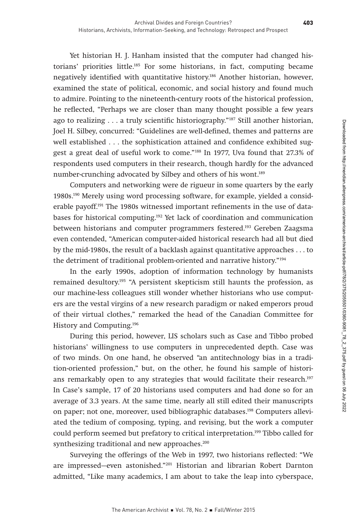Yet historian H. J. Hanham insisted that the computer had changed historians' priorities little.185 For some historians, in fact, computing became negatively identified with quantitative history.186 Another historian, however, examined the state of political, economic, and social history and found much to admire. Pointing to the nineteenth-century roots of the historical profession, he reflected, "Perhaps we are closer than many thought possible a few years ago to realizing . . . a truly scientific historiography."187 Still another historian, Joel H. Silbey, concurred: "Guidelines are well-defined, themes and patterns are well established . . . the sophistication attained and confidence exhibited suggest a great deal of useful work to come."188 In 1977, Uva found that 27.3% of respondents used computers in their research, though hardly for the advanced number-crunching advocated by Silbey and others of his wont.<sup>189</sup>

Computers and networking were de rigueur in some quarters by the early 1980s.190 Merely using word processing software, for example, yielded a considerable payoff.<sup>191</sup> The 1980s witnessed important refinements in the use of databases for historical computing.192 Yet lack of coordination and communication between historians and computer programmers festered.193 Gereben Zaagsma even contended, "American computer-aided historical research had all but died by the mid-1980s, the result of a backlash against quantitative approaches . . . to the detriment of traditional problem-oriented and narrative history."194

In the early 1990s, adoption of information technology by humanists remained desultory.<sup>195</sup> "A persistent skepticism still haunts the profession, as our machine-less colleagues still wonder whether historians who use computers are the vestal virgins of a new research paradigm or naked emperors proud of their virtual clothes," remarked the head of the Canadian Committee for History and Computing.196

During this period, however, LIS scholars such as Case and Tibbo probed historians' willingness to use computers in unprecedented depth. Case was of two minds. On one hand, he observed "an antitechnology bias in a tradition-oriented profession," but, on the other, he found his sample of historians remarkably open to any strategies that would facilitate their research.<sup>197</sup> In Case's sample, 17 of 20 historians used computers and had done so for an average of 3.3 years. At the same time, nearly all still edited their manuscripts on paper; not one, moreover, used bibliographic databases.198 Computers alleviated the tedium of composing, typing, and revising, but the work a computer could perform seemed but prefatory to critical interpretation.199 Tibbo called for synthesizing traditional and new approaches.<sup>200</sup>

Surveying the offerings of the Web in 1997, two historians reflected: "We are impressed—even astonished."201 Historian and librarian Robert Darnton admitted, "Like many academics, I am about to take the leap into cyberspace,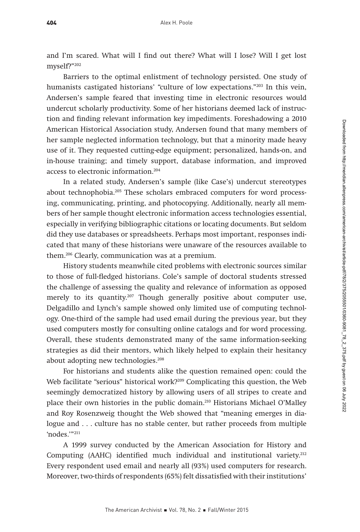and I'm scared. What will I find out there? What will I lose? Will I get lost myself?"202

Barriers to the optimal enlistment of technology persisted. One study of humanists castigated historians' "culture of low expectations."<sup>203</sup> In this vein, Andersen's sample feared that investing time in electronic resources would undercut scholarly productivity. Some of her historians deemed lack of instruction and finding relevant information key impediments. Foreshadowing a 2010 American Historical Association study, Andersen found that many members of her sample neglected information technology, but that a minority made heavy use of it. They requested cutting-edge equipment; personalized, hands-on, and in-house training; and timely support, database information, and improved access to electronic information.204

In a related study, Andersen's sample (like Case's) undercut stereotypes about technophobia.205 These scholars embraced computers for word processing, communicating, printing, and photocopying. Additionally, nearly all members of her sample thought electronic information access technologies essential, especially in verifying bibliographic citations or locating documents. But seldom did they use databases or spreadsheets. Perhaps most important, responses indicated that many of these historians were unaware of the resources available to them.206 Clearly, communication was at a premium.

History students meanwhile cited problems with electronic sources similar to those of full-fledged historians. Cole's sample of doctoral students stressed the challenge of assessing the quality and relevance of information as opposed merely to its quantity.<sup>207</sup> Though generally positive about computer use, Delgadillo and Lynch's sample showed only limited use of computing technology. One-third of the sample had used email during the previous year, but they used computers mostly for consulting online catalogs and for word processing. Overall, these students demonstrated many of the same information-seeking strategies as did their mentors, which likely helped to explain their hesitancy about adopting new technologies.208

For historians and students alike the question remained open: could the Web facilitate "serious" historical work?<sup>209</sup> Complicating this question, the Web seemingly democratized history by allowing users of all stripes to create and place their own histories in the public domain.210 Historians Michael O'Malley and Roy Rosenzweig thought the Web showed that "meaning emerges in dialogue and . . . culture has no stable center, but rather proceeds from multiple 'nodes.'"211

A 1999 survey conducted by the American Association for History and Computing (AAHC) identified much individual and institutional variety.212 Every respondent used email and nearly all (93%) used computers for research. Moreover, two-thirds of respondents (65%) felt dissatisfied with their institutions'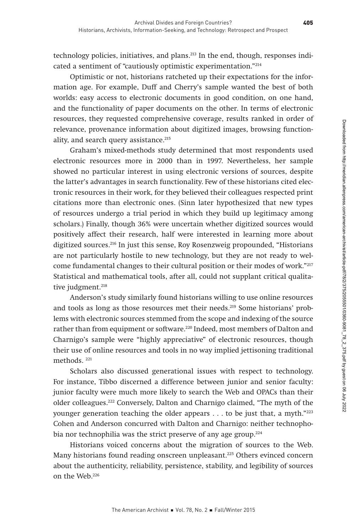technology policies, initiatives, and plans.<sup>213</sup> In the end, though, responses indicated a sentiment of "cautiously optimistic experimentation."214

Optimistic or not, historians ratcheted up their expectations for the information age. For example, Duff and Cherry's sample wanted the best of both worlds: easy access to electronic documents in good condition, on one hand, and the functionality of paper documents on the other. In terms of electronic resources, they requested comprehensive coverage, results ranked in order of relevance, provenance information about digitized images, browsing functionality, and search query assistance.<sup>215</sup>

Graham's mixed-methods study determined that most respondents used electronic resources more in 2000 than in 1997. Nevertheless, her sample showed no particular interest in using electronic versions of sources, despite the latter's advantages in search functionality. Few of these historians cited electronic resources in their work, for they believed their colleagues respected print citations more than electronic ones. (Sinn later hypothesized that new types of resources undergo a trial period in which they build up legitimacy among scholars.) Finally, though 36% were uncertain whether digitized sources would positively affect their research, half were interested in learning more about digitized sources.216 In just this sense, Roy Rosenzweig propounded, "Historians are not particularly hostile to new technology, but they are not ready to welcome fundamental changes to their cultural position or their modes of work."217 Statistical and mathematical tools, after all, could not supplant critical qualitative judgment.<sup>218</sup>

Anderson's study similarly found historians willing to use online resources and tools as long as those resources met their needs.<sup>219</sup> Some historians' problems with electronic sources stemmed from the scope and indexing of the source rather than from equipment or software.220 Indeed, most members of Dalton and Charnigo's sample were "highly appreciative" of electronic resources, though their use of online resources and tools in no way implied jettisoning traditional methods. 221

Scholars also discussed generational issues with respect to technology. For instance, Tibbo discerned a difference between junior and senior faculty: junior faculty were much more likely to search the Web and OPACs than their older colleagues.222 Conversely, Dalton and Charnigo claimed, "The myth of the younger generation teaching the older appears . . . to be just that, a myth."223 Cohen and Anderson concurred with Dalton and Charnigo: neither technophobia nor technophilia was the strict preserve of any age group.<sup>224</sup>

Historians voiced concerns about the migration of sources to the Web. Many historians found reading onscreen unpleasant.<sup>225</sup> Others evinced concern about the authenticity, reliability, persistence, stability, and legibility of sources on the Web.226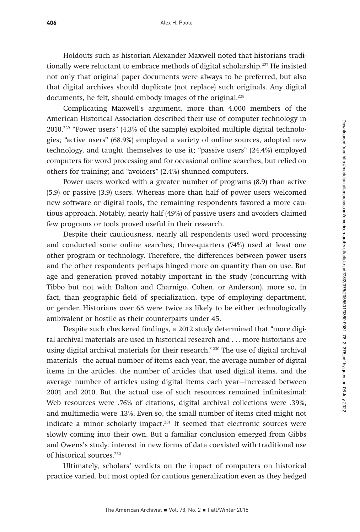Holdouts such as historian Alexander Maxwell noted that historians traditionally were reluctant to embrace methods of digital scholarship.227 He insisted not only that original paper documents were always to be preferred, but also that digital archives should duplicate (not replace) such originals. Any digital documents, he felt, should embody images of the original.<sup>228</sup>

Complicating Maxwell's argument, more than 4,000 members of the American Historical Association described their use of computer technology in 2010.229 "Power users" (4.3% of the sample) exploited multiple digital technologies; "active users" (68.9%) employed a variety of online sources, adopted new technology, and taught themselves to use it; "passive users" (24.4%) employed computers for word processing and for occasional online searches, but relied on others for training; and "avoiders" (2.4%) shunned computers.

Power users worked with a greater number of programs (8.9) than active (5.9) or passive (3.9) users. Whereas more than half of power users welcomed new software or digital tools, the remaining respondents favored a more cautious approach. Notably, nearly half (49%) of passive users and avoiders claimed few programs or tools proved useful in their research.

Despite their cautiousness, nearly all respondents used word processing and conducted some online searches; three-quarters (74%) used at least one other program or technology. Therefore, the differences between power users and the other respondents perhaps hinged more on quantity than on use. But age and generation proved notably important in the study (concurring with Tibbo but not with Dalton and Charnigo, Cohen, or Anderson), more so, in fact, than geographic field of specialization, type of employing department, or gender. Historians over 65 were twice as likely to be either technologically ambivalent or hostile as their counterparts under 45.

Despite such checkered findings, a 2012 study determined that "more digital archival materials are used in historical research and . . . more historians are using digital archival materials for their research."230 The use of digital archival materials—the actual number of items each year, the average number of digital items in the articles, the number of articles that used digital items, and the average number of articles using digital items each year—increased between 2001 and 2010. But the actual use of such resources remained infinitesimal: Web resources were .76% of citations, digital archival collections were .39%, and multimedia were .13%. Even so, the small number of items cited might not indicate a minor scholarly impact.<sup>231</sup> It seemed that electronic sources were slowly coming into their own. But a familiar conclusion emerged from Gibbs and Owens's study: interest in new forms of data coexisted with traditional use of historical sources.232

Ultimately, scholars' verdicts on the impact of computers on historical practice varied, but most opted for cautious generalization even as they hedged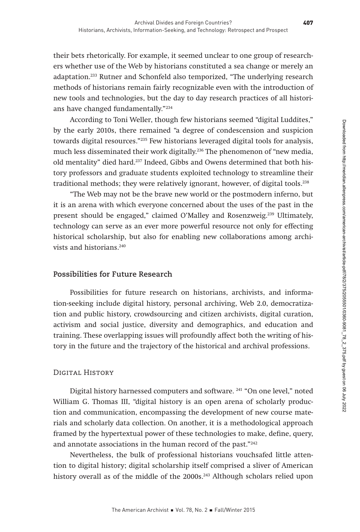their bets rhetorically. For example, it seemed unclear to one group of researchers whether use of the Web by historians constituted a sea change or merely an adaptation.233 Rutner and Schonfeld also temporized, "The underlying research methods of historians remain fairly recognizable even with the introduction of new tools and technologies, but the day to day research practices of all historians have changed fundamentally."234

According to Toni Weller, though few historians seemed "digital Luddites," by the early 2010s, there remained "a degree of condescension and suspicion towards digital resources."235 Few historians leveraged digital tools for analysis, much less disseminated their work digitally.236 The phenomenon of "new media, old mentality" died hard.<sup>237</sup> Indeed, Gibbs and Owens determined that both history professors and graduate students exploited technology to streamline their traditional methods; they were relatively ignorant, however, of digital tools.238

"The Web may not be the brave new world or the postmodern inferno, but it is an arena with which everyone concerned about the uses of the past in the present should be engaged," claimed O'Malley and Rosenzweig.239 Ultimately, technology can serve as an ever more powerful resource not only for effecting historical scholarship, but also for enabling new collaborations among archivists and historians.240

## **Possibilities for Future Research**

Possibilities for future research on historians, archivists, and information-seeking include digital history, personal archiving, Web 2.0, democratization and public history, crowdsourcing and citizen archivists, digital curation, activism and social justice, diversity and demographics, and education and training. These overlapping issues will profoundly affect both the writing of history in the future and the trajectory of the historical and archival professions.

#### DIGITAL HISTORY

Digital history harnessed computers and software. <sup>241</sup> "On one level," noted William G. Thomas III, "digital history is an open arena of scholarly production and communication, encompassing the development of new course materials and scholarly data collection. On another, it is a methodological approach framed by the hypertextual power of these technologies to make, define, query, and annotate associations in the human record of the past."242

Nevertheless, the bulk of professional historians vouchsafed little attention to digital history; digital scholarship itself comprised a sliver of American history overall as of the middle of the 2000s.<sup>243</sup> Although scholars relied upon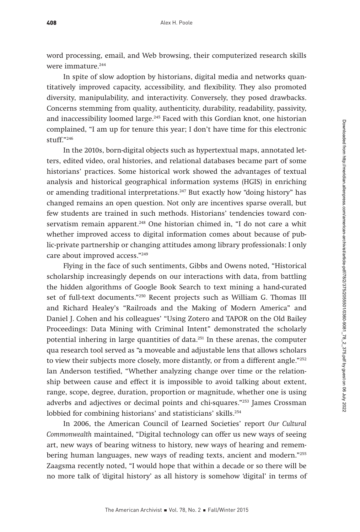word processing, email, and Web browsing, their computerized research skills were immature.<sup>244</sup>

In spite of slow adoption by historians, digital media and networks quantitatively improved capacity, accessibility, and flexibility. They also promoted diversity, manipulability, and interactivity. Conversely, they posed drawbacks. Concerns stemming from quality, authenticity, durability, readability, passivity, and inaccessibility loomed large.<sup>245</sup> Faced with this Gordian knot, one historian complained, "I am up for tenure this year; I don't have time for this electronic stuff."246

In the 2010s, born-digital objects such as hypertextual maps, annotated letters, edited video, oral histories, and relational databases became part of some historians' practices. Some historical work showed the advantages of textual analysis and historical geographical information systems (HGIS) in enriching or amending traditional interpretations.247 But exactly how "doing history" has changed remains an open question. Not only are incentives sparse overall, but few students are trained in such methods. Historians' tendencies toward conservatism remain apparent.<sup>248</sup> One historian chimed in, "I do not care a whit whether improved access to digital information comes about because of public-private partnership or changing attitudes among library professionals: I only care about improved access."249

Flying in the face of such sentiments, Gibbs and Owens noted, "Historical scholarship increasingly depends on our interactions with data, from battling the hidden algorithms of Google Book Search to text mining a hand-curated set of full-text documents."<sup>250</sup> Recent projects such as William G. Thomas III and Richard Healey's "Railroads and the Making of Modern America" and Daniel J. Cohen and his colleagues' "Using Zotero and TAPOR on the Old Bailey Proceedings: Data Mining with Criminal Intent" demonstrated the scholarly potential inhering in large quantities of data.<sup>251</sup> In these arenas, the computer qua research tool served as "a moveable and adjustable lens that allows scholars to view their subjects more closely, more distantly, or from a different angle."<sup>252</sup> Ian Anderson testified, "Whether analyzing change over time or the relationship between cause and effect it is impossible to avoid talking about extent, range, scope, degree, duration, proportion or magnitude, whether one is using adverbs and adjectives or decimal points and chi-squares."253 James Crossman lobbied for combining historians' and statisticians' skills.<sup>254</sup>

In 2006, the American Council of Learned Societies' report Our Cultural Commonwealth maintained, "Digital technology can offer us new ways of seeing art, new ways of bearing witness to history, new ways of hearing and remembering human languages, new ways of reading texts, ancient and modern."255 Zaagsma recently noted, "I would hope that within a decade or so there will be no more talk of 'digital history' as all history is somehow 'digital' in terms of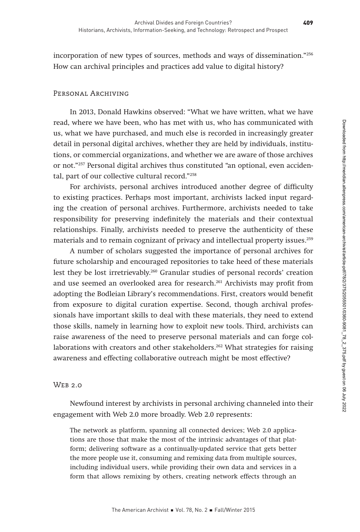incorporation of new types of sources, methods and ways of dissemination."256 How can archival principles and practices add value to digital history?

## PERSONAL ARCHIVING

In 2013, Donald Hawkins observed: "What we have written, what we have read, where we have been, who has met with us, who has communicated with us, what we have purchased, and much else is recorded in increasingly greater detail in personal digital archives, whether they are held by individuals, institutions, or commercial organizations, and whether we are aware of those archives or not."257 Personal digital archives thus constituted "an optional, even accidental, part of our collective cultural record."258

For archivists, personal archives introduced another degree of difficulty to existing practices. Perhaps most important, archivists lacked input regarding the creation of personal archives. Furthermore, archivists needed to take responsibility for preserving indefinitely the materials and their contextual relationships. Finally, archivists needed to preserve the authenticity of these materials and to remain cognizant of privacy and intellectual property issues.259

A number of scholars suggested the importance of personal archives for future scholarship and encouraged repositories to take heed of these materials lest they be lost irretrievably.260 Granular studies of personal records' creation and use seemed an overlooked area for research.261 Archivists may profit from adopting the Bodleian Library's recommendations. First, creators would benefit from exposure to digital curation expertise. Second, though archival professionals have important skills to deal with these materials, they need to extend those skills, namely in learning how to exploit new tools. Third, archivists can raise awareness of the need to preserve personal materials and can forge collaborations with creators and other stakeholders.<sup>262</sup> What strategies for raising awareness and effecting collaborative outreach might be most effective?

## Web 2.0

Newfound interest by archivists in personal archiving channeled into their engagement with Web 2.0 more broadly. Web 2.0 represents:

The network as platform, spanning all connected devices; Web 2.0 applications are those that make the most of the intrinsic advantages of that platform; delivering software as a continually-updated service that gets better the more people use it, consuming and remixing data from multiple sources, including individual users, while providing their own data and services in a form that allows remixing by others, creating network effects through an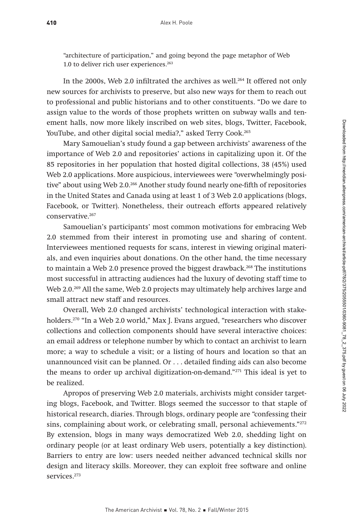"architecture of participation," and going beyond the page metaphor of Web 1.0 to deliver rich user experiences.<sup>263</sup>

In the 2000s, Web 2.0 infiltrated the archives as well.<sup>264</sup> It offered not only new sources for archivists to preserve, but also new ways for them to reach out to professional and public historians and to other constituents. "Do we dare to assign value to the words of those prophets written on subway walls and tenement halls, now more likely inscribed on web sites, blogs, Twitter, Facebook, YouTube, and other digital social media?," asked Terry Cook.<sup>265</sup>

Mary Samouelian's study found a gap between archivists' awareness of the importance of Web 2.0 and repositories' actions in capitalizing upon it. Of the 85 repositories in her population that hosted digital collections, 38 (45%) used Web 2.0 applications. More auspicious, interviewees were "overwhelmingly positive" about using Web 2.0.266 Another study found nearly one-fifth of repositories in the United States and Canada using at least 1 of 3 Web 2.0 applications (blogs, Facebook, or Twitter). Nonetheless, their outreach efforts appeared relatively conservative.<sup>267</sup>

Samouelian's participants' most common motivations for embracing Web 2.0 stemmed from their interest in promoting use and sharing of content. Interviewees mentioned requests for scans, interest in viewing original materials, and even inquiries about donations. On the other hand, the time necessary to maintain a Web 2.0 presence proved the biggest drawback.<sup>268</sup> The institutions most successful in attracting audiences had the luxury of devoting staff time to Web 2.0.<sup>269</sup> All the same, Web 2.0 projects may ultimately help archives large and small attract new staff and resources.

Overall, Web 2.0 changed archivists' technological interaction with stakeholders.270 "In a Web 2.0 world," Max J. Evans argued, "researchers who discover collections and collection components should have several interactive choices: an email address or telephone number by which to contact an archivist to learn more; a way to schedule a visit; or a listing of hours and location so that an unannounced visit can be planned. Or . . . detailed finding aids can also become the means to order up archival digitization-on-demand."271 This ideal is yet to be realized.

Apropos of preserving Web 2.0 materials, archivists might consider targeting blogs, Facebook, and Twitter. Blogs seemed the successor to that staple of historical research, diaries. Through blogs, ordinary people are "confessing their sins, complaining about work, or celebrating small, personal achievements."<sup>272</sup> By extension, blogs in many ways democratized Web 2.0, shedding light on ordinary people (or at least ordinary Web users, potentially a key distinction). Barriers to entry are low: users needed neither advanced technical skills nor design and literacy skills. Moreover, they can exploit free software and online services.<sup>273</sup>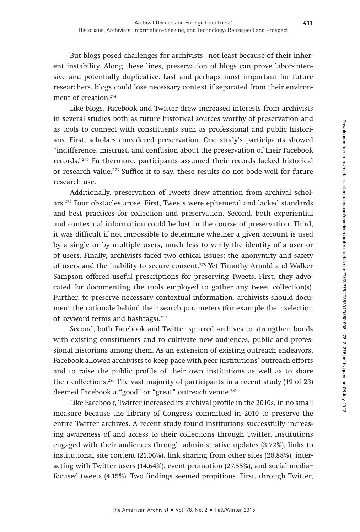But blogs posed challenges for archivists—not least because of their inherent instability. Along these lines, preservation of blogs can prove labor-intensive and potentially duplicative. Last and perhaps most important for future researchers, blogs could lose necessary context if separated from their environment of creation.<sup>274</sup>

Like blogs, Facebook and Twitter drew increased interests from archivists in several studies both as future historical sources worthy of preservation and as tools to connect with constituents such as professional and public historians. First, scholars considered preservation. One study's participants showed "indifference, mistrust, and confusion about the preservation of their Facebook records."275 Furthermore, participants assumed their records lacked historical or research value.276 Suffice it to say, these results do not bode well for future research use.

Additionally, preservation of Tweets drew attention from archival scholars.277 Four obstacles arose. First, Tweets were ephemeral and lacked standards and best practices for collection and preservation. Second, both experiential and contextual information could be lost in the course of preservation. Third, it was difficult if not impossible to determine whether a given account is used by a single or by multiple users, much less to verify the identity of a user or of users. Finally, archivists faced two ethical issues: the anonymity and safety of users and the inability to secure consent.278 Yet Timothy Arnold and Walker Sampson offered useful prescriptions for preserving Tweets. First, they advocated for documenting the tools employed to gather any tweet collection(s). Further, to preserve necessary contextual information, archivists should document the rationale behind their search parameters (for example their selection of keyword terms and hashtags).279

Second, both Facebook and Twitter spurred archives to strengthen bonds with existing constituents and to cultivate new audiences, public and professional historians among them. As an extension of existing outreach endeavors, Facebook allowed archivists to keep pace with peer institutions' outreach efforts and to raise the public profile of their own institutions as well as to share their collections.280 The vast majority of participants in a recent study (19 of 23) deemed Facebook a "good" or "great" outreach venue.<sup>281</sup>

Like Facebook, Twitter increased its archival profile in the 2010s, in no small measure because the Library of Congress committed in 2010 to preserve the entire Twitter archives. A recent study found institutions successfully increasing awareness of and access to their collections through Twitter. Institutions engaged with their audiences through administrative updates (3.72%), links to institutional site content (21.06%), link sharing from other sites (28.88%), interacting with Twitter users (14.64%), event promotion (27.55%), and social media– focused tweets (4.15%). Two findings seemed propitious. First, through Twitter,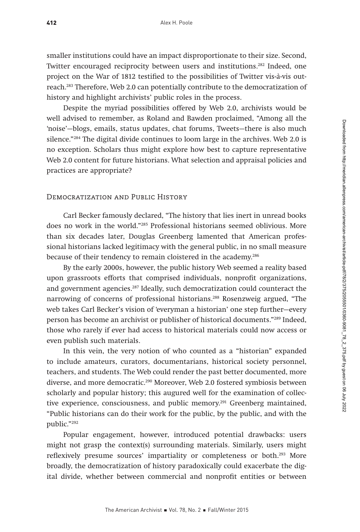smaller institutions could have an impact disproportionate to their size. Second, Twitter encouraged reciprocity between users and institutions.282 Indeed, one project on the War of 1812 testified to the possibilities of Twitter vis-à-vis outreach.283 Therefore, Web 2.0 can potentially contribute to the democratization of history and highlight archivists' public roles in the process.

Despite the myriad possibilities offered by Web 2.0, archivists would be well advised to remember, as Roland and Bawden proclaimed, "Among all the 'noise'—blogs, emails, status updates, chat forums, Tweets—there is also much silence."284 The digital divide continues to loom large in the archives. Web 2.0 is no exception. Scholars thus might explore how best to capture representative Web 2.0 content for future historians. What selection and appraisal policies and practices are appropriate?

#### Democratization and Public History

Carl Becker famously declared, "The history that lies inert in unread books does no work in the world."285 Professional historians seemed oblivious. More than six decades later, Douglas Greenberg lamented that American professional historians lacked legitimacy with the general public, in no small measure because of their tendency to remain cloistered in the academy.<sup>286</sup>

By the early 2000s, however, the public history Web seemed a reality based upon grassroots efforts that comprised individuals, nonprofit organizations, and government agencies.<sup>287</sup> Ideally, such democratization could counteract the narrowing of concerns of professional historians.288 Rosenzweig argued, "The web takes Carl Becker's vision of 'everyman a historian' one step further—every person has become an archivist or publisher of historical documents."289 Indeed, those who rarely if ever had access to historical materials could now access or even publish such materials.

In this vein, the very notion of who counted as a "historian" expanded to include amateurs, curators, documentarians, historical society personnel, teachers, and students. The Web could render the past better documented, more diverse, and more democratic.290 Moreover, Web 2.0 fostered symbiosis between scholarly and popular history; this augured well for the examination of collective experience, consciousness, and public memory.<sup>291</sup> Greenberg maintained, "Public historians can do their work for the public, by the public, and with the public."292

Popular engagement, however, introduced potential drawbacks: users might not grasp the context(s) surrounding materials. Similarly, users might reflexively presume sources' impartiality or completeness or both.293 More broadly, the democratization of history paradoxically could exacerbate the digital divide, whether between commercial and nonprofit entities or between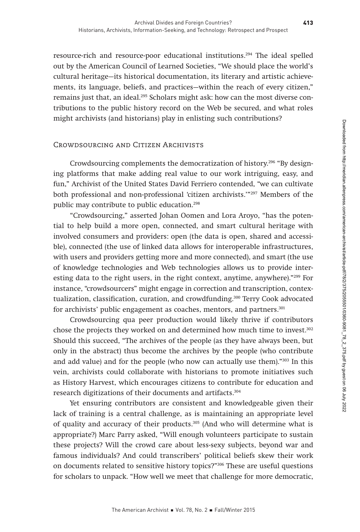resource-rich and resource-poor educational institutions.294 The ideal spelled out by the American Council of Learned Societies, "We should place the world's cultural heritage—its historical documentation, its literary and artistic achievements, its language, beliefs, and practices—within the reach of every citizen," remains just that, an ideal.<sup>295</sup> Scholars might ask: how can the most diverse contributions to the public history record on the Web be secured, and what roles might archivists (and historians) play in enlisting such contributions?

# Crowdsourcing and Citizen Archivists

Crowdsourcing complements the democratization of history.296 "By designing platforms that make adding real value to our work intriguing, easy, and fun," Archivist of the United States David Ferriero contended, "we can cultivate both professional and non-professional 'citizen archivists.'"297 Members of the public may contribute to public education.<sup>298</sup>

"Crowdsourcing," asserted Johan Oomen and Lora Aroyo, "has the potential to help build a more open, connected, and smart cultural heritage with involved consumers and providers: open (the data is open, shared and accessible), connected (the use of linked data allows for interoperable infrastructures, with users and providers getting more and more connected), and smart (the use of knowledge technologies and Web technologies allows us to provide interesting data to the right users, in the right context, anytime, anywhere)."<sup>299</sup> For instance, "crowdsourcers" might engage in correction and transcription, contextualization, classification, curation, and crowdfunding.<sup>300</sup> Terry Cook advocated for archivists' public engagement as coaches, mentors, and partners.<sup>301</sup>

Crowdsourcing qua peer production would likely thrive if contributors chose the projects they worked on and determined how much time to invest.302 Should this succeed, "The archives of the people (as they have always been, but only in the abstract) thus become the archives by the people (who contribute and add value) and for the people (who now can actually use them)."303 In this vein, archivists could collaborate with historians to promote initiatives such as History Harvest, which encourages citizens to contribute for education and research digitizations of their documents and artifacts.304

Yet ensuring contributors are consistent and knowledgeable given their lack of training is a central challenge, as is maintaining an appropriate level of quality and accuracy of their products.305 (And who will determine what is appropriate?) Marc Parry asked, "Will enough volunteers participate to sustain these projects? Will the crowd care about less-sexy subjects, beyond war and famous individuals? And could transcribers' political beliefs skew their work on documents related to sensitive history topics?"306 These are useful questions for scholars to unpack. "How well we meet that challenge for more democratic,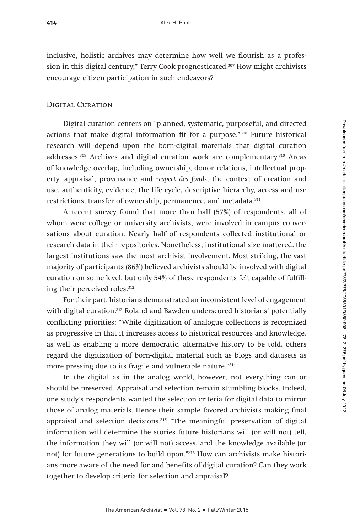inclusive, holistic archives may determine how well we flourish as a profession in this digital century," Terry Cook prognosticated.307 How might archivists encourage citizen participation in such endeavors?

#### Digital Curation

Digital curation centers on "planned, systematic, purposeful, and directed actions that make digital information fit for a purpose."308 Future historical research will depend upon the born-digital materials that digital curation addresses.<sup>309</sup> Archives and digital curation work are complementary.<sup>310</sup> Areas of knowledge overlap, including ownership, donor relations, intellectual property, appraisal, provenance and respect des fonds, the context of creation and use, authenticity, evidence, the life cycle, descriptive hierarchy, access and use restrictions, transfer of ownership, permanence, and metadata.<sup>311</sup>

A recent survey found that more than half (57%) of respondents, all of whom were college or university archivists, were involved in campus conversations about curation. Nearly half of respondents collected institutional or research data in their repositories. Nonetheless, institutional size mattered: the largest institutions saw the most archivist involvement. Most striking, the vast majority of participants (86%) believed archivists should be involved with digital curation on some level, but only 54% of these respondents felt capable of fulfilling their perceived roles.<sup>312</sup>

For their part, historians demonstrated an inconsistent level of engagement with digital curation.<sup>313</sup> Roland and Bawden underscored historians' potentially conflicting priorities: "While digitization of analogue collections is recognized as progressive in that it increases access to historical resources and knowledge, as well as enabling a more democratic, alternative history to be told, others regard the digitization of born-digital material such as blogs and datasets as more pressing due to its fragile and vulnerable nature."314

In the digital as in the analog world, however, not everything can or should be preserved. Appraisal and selection remain stumbling blocks. Indeed, one study's respondents wanted the selection criteria for digital data to mirror those of analog materials. Hence their sample favored archivists making final appraisal and selection decisions.<sup>315</sup> "The meaningful preservation of digital information will determine the stories future historians will (or will not) tell, the information they will (or will not) access, and the knowledge available (or not) for future generations to build upon."316 How can archivists make historians more aware of the need for and benefits of digital curation? Can they work together to develop criteria for selection and appraisal?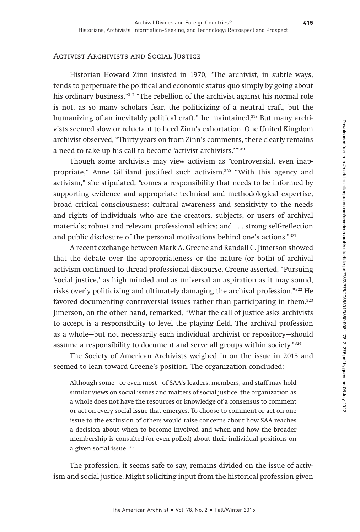# Activist Archivists and Social Justice

Historian Howard Zinn insisted in 1970, "The archivist, in subtle ways, tends to perpetuate the political and economic status quo simply by going about his ordinary business."317 "The rebellion of the archivist against his normal role is not, as so many scholars fear, the politicizing of a neutral craft, but the humanizing of an inevitably political craft," he maintained.<sup>318</sup> But many archivists seemed slow or reluctant to heed Zinn's exhortation. One United Kingdom archivist observed, "Thirty years on from Zinn's comments, there clearly remains a need to take up his call to become 'activist archivists.'"319

Though some archivists may view activism as "controversial, even inappropriate," Anne Gilliland justified such activism.320 "With this agency and activism," she stipulated, "comes a responsibility that needs to be informed by supporting evidence and appropriate technical and methodological expertise; broad critical consciousness; cultural awareness and sensitivity to the needs and rights of individuals who are the creators, subjects, or users of archival materials; robust and relevant professional ethics; and . . . strong self-reflection and public disclosure of the personal motivations behind one's actions."321

A recent exchange between Mark A. Greene and Randall C. Jimerson showed that the debate over the appropriateness or the nature (or both) of archival activism continued to thread professional discourse. Greene asserted, "Pursuing 'social justice,' as high minded and as universal an aspiration as it may sound, risks overly politicizing and ultimately damaging the archival profession."322 He favored documenting controversial issues rather than participating in them.<sup>323</sup> Jimerson, on the other hand, remarked, "What the call of justice asks archivists to accept is a responsibility to level the playing field. The archival profession as a whole—but not necessarily each individual archivist or repository—should assume a responsibility to document and serve all groups within society."324

The Society of American Archivists weighed in on the issue in 2015 and seemed to lean toward Greene's position. The organization concluded:

Although some—or even most—of SAA's leaders, members, and staff may hold similar views on social issues and matters of social justice, the organization as a whole does not have the resources or knowledge of a consensus to comment or act on every social issue that emerges. To choose to comment or act on one issue to the exclusion of others would raise concerns about how SAA reaches a decision about when to become involved and when and how the broader membership is consulted (or even polled) about their individual positions on a given social issue.<sup>325</sup>

The profession, it seems safe to say, remains divided on the issue of activism and social justice. Might soliciting input from the historical profession given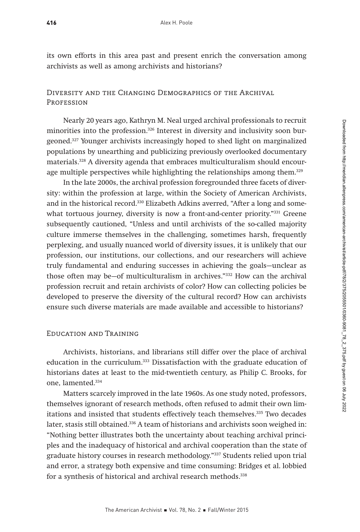416

its own efforts in this area past and present enrich the conversation among archivists as well as among archivists and historians?

# Diversity and the Changing Demographics of the Archival **PROFESSION**

Nearly 20 years ago, Kathryn M. Neal urged archival professionals to recruit minorities into the profession.<sup>326</sup> Interest in diversity and inclusivity soon burgeoned.327 Younger archivists increasingly hoped to shed light on marginalized populations by unearthing and publicizing previously overlooked documentary materials.328 A diversity agenda that embraces multiculturalism should encourage multiple perspectives while highlighting the relationships among them.<sup>329</sup>

In the late 2000s, the archival profession foregrounded three facets of diversity: within the profession at large, within the Society of American Archivists, and in the historical record.330 Elizabeth Adkins averred, "After a long and somewhat tortuous journey, diversity is now a front-and-center priority."331 Greene subsequently cautioned, "Unless and until archivists of the so-called majority culture immerse themselves in the challenging, sometimes harsh, frequently perplexing, and usually nuanced world of diversity issues, it is unlikely that our profession, our institutions, our collections, and our researchers will achieve truly fundamental and enduring successes in achieving the goals—unclear as those often may be—of multiculturalism in archives."332 How can the archival profession recruit and retain archivists of color? How can collecting policies be developed to preserve the diversity of the cultural record? How can archivists ensure such diverse materials are made available and accessible to historians?

# Education and Training

Archivists, historians, and librarians still differ over the place of archival education in the curriculum.333 Dissatisfaction with the graduate education of historians dates at least to the mid-twentieth century, as Philip C. Brooks, for one, lamented.334

Matters scarcely improved in the late 1960s. As one study noted, professors, themselves ignorant of research methods, often refused to admit their own limitations and insisted that students effectively teach themselves.335 Two decades later, stasis still obtained.<sup>336</sup> A team of historians and archivists soon weighed in: "Nothing better illustrates both the uncertainty about teaching archival principles and the inadequacy of historical and archival cooperation than the state of graduate history courses in research methodology."337 Students relied upon trial and error, a strategy both expensive and time consuming: Bridges et al. lobbied for a synthesis of historical and archival research methods.<sup>338</sup>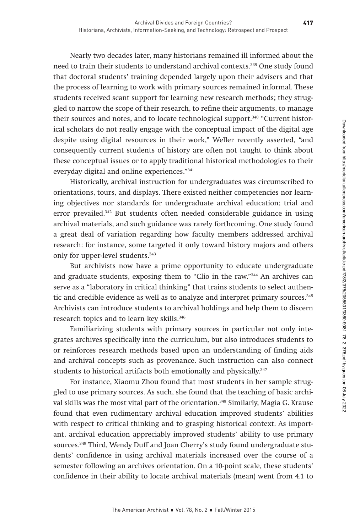Nearly two decades later, many historians remained ill informed about the need to train their students to understand archival contexts.339 One study found that doctoral students' training depended largely upon their advisers and that the process of learning to work with primary sources remained informal. These students received scant support for learning new research methods; they struggled to narrow the scope of their research, to refine their arguments, to manage their sources and notes, and to locate technological support.<sup>340</sup> "Current historical scholars do not really engage with the conceptual impact of the digital age despite using digital resources in their work," Weller recently asserted, "and consequently current students of history are often not taught to think about these conceptual issues or to apply traditional historical methodologies to their everyday digital and online experiences."341

Historically, archival instruction for undergraduates was circumscribed to orientations, tours, and displays. There existed neither competencies nor learning objectives nor standards for undergraduate archival education; trial and error prevailed.<sup>342</sup> But students often needed considerable guidance in using archival materials, and such guidance was rarely forthcoming. One study found a great deal of variation regarding how faculty members addressed archival research: for instance, some targeted it only toward history majors and others only for upper-level students.343

But archivists now have a prime opportunity to educate undergraduate and graduate students, exposing them to "Clio in the raw."344 An archives can serve as a "laboratory in critical thinking" that trains students to select authentic and credible evidence as well as to analyze and interpret primary sources.<sup>345</sup> Archivists can introduce students to archival holdings and help them to discern research topics and to learn key skills.<sup>346</sup>

Familiarizing students with primary sources in particular not only integrates archives specifically into the curriculum, but also introduces students to or reinforces research methods based upon an understanding of finding aids and archival concepts such as provenance. Such instruction can also connect students to historical artifacts both emotionally and physically.<sup>347</sup>

For instance, Xiaomu Zhou found that most students in her sample struggled to use primary sources. As such, she found that the teaching of basic archival skills was the most vital part of the orientation.348 Similarly, Magia G. Krause found that even rudimentary archival education improved students' abilities with respect to critical thinking and to grasping historical context. As important, archival education appreciably improved students' ability to use primary sources.349 Third, Wendy Duff and Joan Cherry's study found undergraduate students' confidence in using archival materials increased over the course of a semester following an archives orientation. On a 10-point scale, these students' confidence in their ability to locate archival materials (mean) went from 4.1 to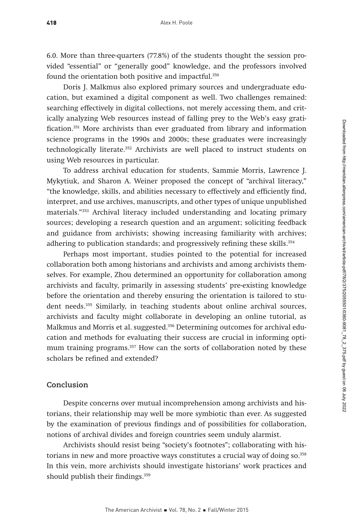6.0. More than three-quarters (77.8%) of the students thought the session provided "essential" or "generally good" knowledge, and the professors involved found the orientation both positive and impactful.<sup>350</sup>

Doris J. Malkmus also explored primary sources and undergraduate education, but examined a digital component as well. Two challenges remained: searching effectively in digital collections, not merely accessing them, and critically analyzing Web resources instead of falling prey to the Web's easy gratification.351 More archivists than ever graduated from library and information science programs in the 1990s and 2000s; these graduates were increasingly technologically literate.352 Archivists are well placed to instruct students on using Web resources in particular.

To address archival education for students, Sammie Morris, Lawrence J. Mykytiuk, and Sharon A. Weiner proposed the concept of "archival literacy," "the knowledge, skills, and abilities necessary to effectively and efficiently find, interpret, and use archives, manuscripts, and other types of unique unpublished materials."353 Archival literacy included understanding and locating primary sources; developing a research question and an argument; soliciting feedback and guidance from archivists; showing increasing familiarity with archives; adhering to publication standards; and progressively refining these skills.<sup>354</sup>

Perhaps most important, studies pointed to the potential for increased collaboration both among historians and archivists and among archivists themselves. For example, Zhou determined an opportunity for collaboration among archivists and faculty, primarily in assessing students' pre-existing knowledge before the orientation and thereby ensuring the orientation is tailored to student needs.<sup>355</sup> Similarly, in teaching students about online archival sources, archivists and faculty might collaborate in developing an online tutorial, as Malkmus and Morris et al. suggested.<sup>356</sup> Determining outcomes for archival education and methods for evaluating their success are crucial in informing optimum training programs.<sup>357</sup> How can the sorts of collaboration noted by these scholars be refined and extended?

# **Conclusion**

Despite concerns over mutual incomprehension among archivists and historians, their relationship may well be more symbiotic than ever. As suggested by the examination of previous findings and of possibilities for collaboration, notions of archival divides and foreign countries seem unduly alarmist.

Archivists should resist being "society's footnotes"; collaborating with historians in new and more proactive ways constitutes a crucial way of doing so.<sup>358</sup> In this vein, more archivists should investigate historians' work practices and should publish their findings.<sup>359</sup>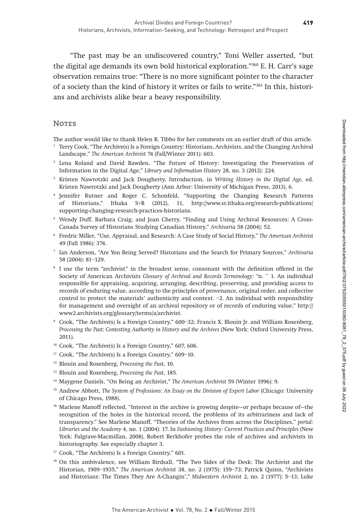"The past may be an undiscovered country," Toni Weller asserted, "but the digital age demands its own bold historical exploration."360 E. H. Carr's sage observation remains true: "There is no more significant pointer to the character of a society than the kind of history it writes or fails to write."361 In this, historians and archivists alike bear a heavy responsibility.

# **NOTES**

The author would like to thank Helen R. Tibbo for her comments on an earlier draft of this article.

- <sup>1</sup> Terry Cook, "The Archive(s) Is a Foreign Country: Historians, Archivists, and the Changing Archival Landscape," The American Archivist 74 (Fall/Winter 2011): 603.
- <sup>2</sup> Lena Roland and David Bawden, "The Future of History: Investigating the Preservation of Information in the Digital Age," Library and Information History 28, no. 3 (2012): 224.
- <sup>3</sup> Kristen Nawrotzki and Jack Dougherty, Introduction, in Writing History in the Digital Age, ed. Kristen Nawrotzki and Jack Dougherty (Ann Arbor: University of Michigan Press, 2013), 6.
- <sup>4</sup> Jennifer Rutner and Roger C. Schonfeld, "Supporting the Changing Research Patterns of Historians," Ithaka S+R (2012), 11, http://www.sr.ithaka.org/research-publications/ supporting-changing-research-practices-historians.
- <sup>5</sup> Wendy Duff, Barbara Craig, and Joan Cherry, "Finding and Using Archival Resources: A Cross-Canada Survey of Historians Studying Canadian History," Archivaria 58 (2004): 52.
- <sup>6</sup> Fredric Miller, "Use, Appraisal, and Research: A Case Study of Social History," The American Archivist 49 (Fall 1986): 374.
- <sup>7</sup> Ian Anderson, "Are You Being Served? Historians and the Search for Primary Sources," Archivaria 58 (2004): 81–129.
- <sup>8</sup> I use the term "archivist" in the broadest sense, consonant with the definition offered in the Society of American Archivists Glossary of Archival and Records Terminology: "n. ~ 1. An individual responsible for appraising, acquiring, arranging, describing, preserving, and providing access to records of enduring value, according to the principles of provenance, original order, and collective control to protect the materials' authenticity and context. –2. An individual with responsibility for management and oversight of an archival repository or of records of enduring value," http:// www2.archivists.org/glossary/terms/a/archivist.
- <sup>9</sup> Cook, "The Archive(s) Is a Foreign Country," 600–32; Francis X. Blouin Jr. and William Rosenberg, Processing the Past: Contesting Authority in History and the Archives (New York: Oxford University Press, 2011).
- <sup>10</sup> Cook, "The Archive(s) Is a Foreign Country," 607, 606.
- $11$  Cook, "The Archive(s) Is a Foreign Country," 609-10.
- <sup>12</sup> Blouin and Rosenberg, Processing the Past, 10.
- <sup>13</sup> Blouin and Rosenberg, Processing the Past, 185.
- <sup>14</sup> Maygene Daniels, "On Being an Archivist," The American Archivist 59 (Winter 1996): 9.
- <sup>15</sup> Andrew Abbott, The System of Professions: An Essay on the Division of Expert Labor (Chicago: University of Chicago Press, 1988).
- <sup>16</sup> Marlene Manoff reflected, "Interest in the archive is growing despite—or perhaps because of—the recognition of the holes in the historical record, the problems of its arbitrariness and lack of transparency." See Marlene Manoff, "Theories of the Archives from across the Disciplines," portal: Libraries and the Academy 4, no. 1 (2004): 17. In Fashioning History: Current Practices and Principles (New York: Palgrave-Macmillan, 2008), Robert Berkhofer probes the role of archives and archivists in historiography. See especially chapter 3.
- <sup>17</sup> Cook, "The Archive(s) Is a Foreign Country," 601.
- <sup>18</sup> On this ambivalence, see William Birdsall, "The Two Sides of the Desk: The Archivist and the Historian, 1909–1935," The American Archivist 38, no. 2 (1975): 159–73; Patrick Quinn, "Archivists and Historians: The Times They Are A-Changin'," Midwestern Archivist 2, no. 2 (1977): 5–13; Luke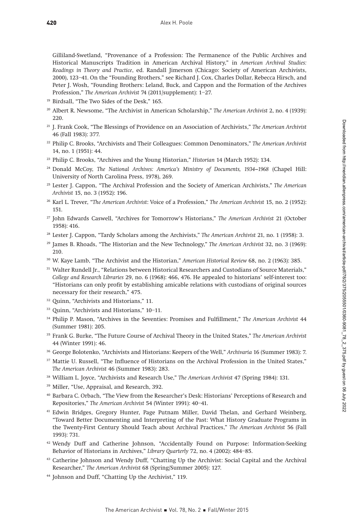Gilliland-Swetland, "Provenance of a Profession: The Permanence of the Public Archives and Historical Manuscripts Tradition in American Archival History," in American Archival Studies: Readings in Theory and Practice, ed. Randall Jimerson (Chicago: Society of American Archivists, 2000), 123–41. On the "Founding Brothers," see Richard J. Cox, Charles Dollar, Rebecca Hirsch, and Peter J. Wosh, "Founding Brothers: Leland, Buck, and Cappon and the Formation of the Archives Profession," The American Archivist 74 (2011/supplement): 1–27.

- <sup>19</sup> Birdsall, "The Two Sides of the Desk," 165.
- <sup>20</sup> Albert R. Newsome, "The Archivist in American Scholarship," The American Archivist 2, no. 4 (1939): 220.
- <sup>21</sup> J. Frank Cook, "The Blessings of Providence on an Association of Archivists," The American Archivist 46 (Fall 1983): 377.
- <sup>22</sup> Philip C. Brooks, "Archivists and Their Colleagues: Common Denominators," The American Archivist 14, no. 1 (1951): 44.
- <sup>23</sup> Philip C. Brooks, "Archives and the Young Historian," Historian 14 (March 1952): 134.
- <sup>24</sup> Donald McCoy, The National Archives: America's Ministry of Documents, 1934-1968 (Chapel Hill: University of North Carolina Press, 1978), 269.
- <sup>25</sup> Lester J. Cappon, "The Archival Profession and the Society of American Archivists," The American Archivist 15, no. 3 (1952): 196.
- <sup>26</sup> Karl L. Trever, "The American Archivist: Voice of a Profession," The American Archivist 15, no. 2 (1952): 151.
- <sup>27</sup> John Edwards Caswell, "Archives for Tomorrow's Historians," The American Archivist 21 (October 1958): 416.
- <sup>28</sup> Lester J. Cappon, "Tardy Scholars among the Archivists," The American Archivist 21, no. 1 (1958): 3.
- $29$  James B. Rhoads, "The Historian and the New Technology," The American Archivist 32, no. 3 (1969): 210.
- <sup>30</sup> W. Kaye Lamb, "The Archivist and the Historian," American Historical Review 68, no. 2 (1963): 385.
- <sup>31</sup> Walter Rundell Jr., "Relations between Historical Researchers and Custodians of Source Materials," College and Research Libraries 29, no. 6 (1968): 466, 476. He appealed to historians' self-interest too: "Historians can only profit by establishing amicable relations with custodians of original sources necessary for their research," 475.
- <sup>32</sup> Quinn, "Archivists and Historians," 11.
- <sup>33</sup> Quinn, "Archivists and Historians," 10–11.
- <sup>34</sup> Philip P. Mason, "Archives in the Seventies: Promises and Fulfillment," The American Archivist 44 (Summer 1981): 205.
- <sup>35</sup> Frank G. Burke, "The Future Course of Archival Theory in the United States," The American Archivist 44 (Winter 1991): 46.
- <sup>36</sup> George Bolotenko, "Archivists and Historians: Keepers of the Well," Archivaria 16 (Summer 1983): 7.
- <sup>37</sup> Mattie U. Russell, "The Influence of Historians on the Archival Profession in the United States," The American Archivist 46 (Summer 1983): 283.
- <sup>38</sup> William L. Joyce, "Archivists and Research Use," The American Archivist 47 (Spring 1984): 131.
- <sup>39</sup> Miller, "Use, Appraisal, and Research, 392.
- <sup>40</sup> Barbara C. Orbach, "The View from the Researcher's Desk: Historians' Perceptions of Research and Repositories," The American Archivist 54 (Winter 1991): 40–41.
- <sup>41</sup> Edwin Bridges, Gregory Hunter, Page Putnam Miller, David Thelan, and Gerhard Weinberg, "Toward Better Documenting and Interpreting of the Past: What History Graduate Programs in the Twenty-First Century Should Teach about Archival Practices," The American Archivist 56 (Fall 1993): 731.
- <sup>42</sup> Wendy Duff and Catherine Johnson, "Accidentally Found on Purpose: Information-Seeking Behavior of Historians in Archives," Library Quarterly 72, no. 4 (2002): 484–85.
- <sup>43</sup> Catherine Johnson and Wendy Duff, "Chatting Up the Archivist: Social Capital and the Archival Researcher," The American Archivist 68 (Spring/Summer 2005): 127.
- <sup>44</sup> Johnson and Duff, "Chatting Up the Archivist," 119.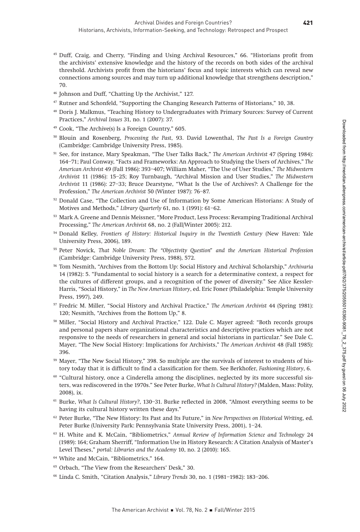- <sup>45</sup> Duff, Craig, and Cherry, "Finding and Using Archival Resources," 66. "Historians profit from the archivists' extensive knowledge and the history of the records on both sides of the archival threshold. Archivists profit from the historians' focus and topic interests which can reveal new connections among sources and may turn up additional knowledge that strengthens description," 70.
- <sup>46</sup> Johnson and Duff, "Chatting Up the Archivist," 127.
- <sup>47</sup> Rutner and Schonfeld, "Supporting the Changing Research Patterns of Historians," 10, 38.
- <sup>48</sup> Doris J. Malkmus, "Teaching History to Undergraduates with Primary Sources: Survey of Current Practices," Archival Issues 31, no. 1 (2007): 37.
- <sup>49</sup> Cook, "The Archive(s) Is a Foreign Country," 605.
- <sup>50</sup> Blouin and Rosenberg, Processing the Past, 93. David Lowenthal, The Past Is a Foreign Country (Cambridge: Cambridge University Press, 1985).
- <sup>51</sup> See, for instance, Mary Speakman, "The User Talks Back," The American Archivist 47 (Spring 1984): 164–71; Paul Conway, "Facts and Frameworks: An Approach to Studying the Users of Archives," The American Archivist 49 (Fall 1986): 393–407; William Maher, "The Use of User Studies," The Midwestern Archivist 11 (1986): 15–25; Roy Turnbaugh, "Archival Mission and User Studies," The Midwestern Archivist 11 (1986): 27–33; Bruce Dearstyne, "What Is the Use of Archives?: A Challenge for the Profession," The American Archivist 50 (Winter 1987): 76–87.
- 52 Donald Case, "The Collection and Use of Information by Some American Historians: A Study of Motives and Methods," Library Quarterly 61, no. 1 (1991): 61–62.
- <sup>53</sup> Mark A. Greene and Dennis Meissner, "More Product, Less Process: Revamping Traditional Archival Processing," The American Archivist 68, no. 2 (Fall/Winter 2005): 212.
- <sup>54</sup> Donald Kelley, Frontiers of History: Historical Inquiry in the Twentieth Century (New Haven: Yale University Press, 2006), 189.
- <sup>55</sup> Peter Novick, That Noble Dream: The "Objectivity Question" and the American Historical Profession (Cambridge: Cambridge University Press, 1988), 572.
- <sup>56</sup> Tom Nesmith, "Archives from the Bottom Up: Social History and Archival Scholarship," Archivaria 14 (1982): 5. "Fundamental to social history is a search for a determinative context, a respect for the cultures of different groups, and a recognition of the power of diversity." See Alice Kessler-Harris, "Social History," in The New American History, ed. Eric Foner (Philadelphia: Temple University Press, 1997), 249.
- <sup>57</sup> Fredric M. Miller, "Social History and Archival Practice," The American Archivist 44 (Spring 1981): 120; Nesmith, "Archives from the Bottom Up," 8.
- <sup>58</sup> Miller, "Social History and Archival Practice," 122. Dale C. Mayer agreed: "Both records groups and personal papers share organizational characteristics and descriptive practices which are not responsive to the needs of researchers in general and social historians in particular." See Dale C. Mayer, "The New Social History: Implications for Archivists," The American Archivist 48 (Fall 1985): 396.
- <sup>59</sup> Mayer, "The New Social History," 398. So multiple are the survivals of interest to students of history today that it is difficult to find a classification for them. See Berkhofer, Fashioning History, 6.
- $60$  "Cultural history, once a Cinderella among the disciplines, neglected by its more successful sisters, was rediscovered in the 1970s." See Peter Burke, What Is Cultural History? (Malden, Mass: Polity, 2008), ix.
- <sup>61</sup> Burke, What Is Cultural History?, 130–31. Burke reflected in 2008, "Almost everything seems to be having its cultural history written these days."
- <sup>62</sup> Peter Burke, "The New History: Its Past and Its Future," in New Perspectives on Historical Writing, ed. Peter Burke (University Park: Pennsylvania State University Press, 2001), 1–24.
- <sup>63</sup> H. White and K. McCain, "Bibliometrics," Annual Review of Information Science and Technology 24 (1989): 164; Graham Sherriff, "Information Use in History Research: A Citation Analysis of Master's Level Theses," portal: Libraries and the Academy 10, no. 2 (2010): 165.
- <sup>64</sup> White and McCain, "Bibliometrics," 164.
- <sup>65</sup> Orbach, "The View from the Researchers' Desk," 30.
- <sup>66</sup> Linda C. Smith, "Citation Analysis," Library Trends 30, no. 1 (1981–1982): 183–206.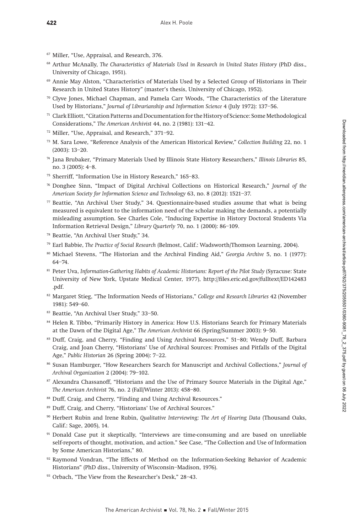- <sup>67</sup> Miller, "Use, Appraisal, and Research, 376.
- <sup>68</sup> Arthur McAnally, The Characteristics of Materials Used in Research in United States History (PhD diss., University of Chicago, 1951).
- <sup>69</sup> Annie May Alston, "Characteristics of Materials Used by a Selected Group of Historians in Their Research in United States History" (master's thesis, University of Chicago, 1952).
- $70$  Clyve Jones, Michael Chapman, and Pamela Carr Woods, "The Characteristics of the Literature Used by Historians," Journal of Librarianship and Information Science 4 (July 1972): 137–56.
- <sup>71</sup> Clark Elliott, "Citation Patterns and Documentation for the History of Science: Some Methodological Considerations," The American Archivist 44, no. 2 (1981): 131–42.
- <sup>72</sup> Miller, "Use, Appraisal, and Research," 371–92.
- $73$  M. Sara Lowe, "Reference Analysis of the American Historical Review," Collection Building 22, no. 1 (2003): 13–20.
- <sup>74</sup> Jana Brubaker, "Primary Materials Used by Illinois State History Researchers," Illinois Libraries 85, no. 3 (2005): 4–8.
- <sup>75</sup> Sherriff, "Information Use in History Research," 165–83.
- <sup>76</sup> Donghee Sinn, "Impact of Digital Archival Collections on Historical Research," Journal of the American Society for Information Science and Technology 63, no. 8 (2012): 1521–37.
- <sup>77</sup> Beattie, "An Archival User Study," 34. Questionnaire-based studies assume that what is being measured is equivalent to the information need of the scholar making the demands, a potentially misleading assumption. See Charles Cole, "Inducing Expertise in History Doctoral Students Via Information Retrieval Design," Library Quarterly 70, no. 1 (2000): 86–109.
- <sup>78</sup> Beattie, "An Archival User Study," 34.
- <sup>79</sup> Earl Babbie, The Practice of Social Research (Belmost, Calif.: Wadsworth/Thomson Learning, 2004).
- <sup>80</sup> Michael Stevens, "The Historian and the Archival Finding Aid," Georgia Archive 5, no. 1 (1977): 64–74.
- 81 Peter Uva, Information-Gathering Habits of Academic Historians: Report of the Pilot Study (Syracuse: State University of New York, Upstate Medical Center, 1977), http://files.eric.ed.gov/fulltext/ED142483 .pdf.
- <sup>82</sup> Margaret Stieg, "The Information Needs of Historians," College and Research Libraries 42 (November 1981): 549–60.
- <sup>83</sup> Beattie, "An Archival User Study," 33–50.
- <sup>84</sup> Helen R. Tibbo, "Primarily History in America: How U.S. Historians Search for Primary Materials at the Dawn of the Digital Age," The American Archivist 66 (Spring/Summer 2003): 9–50.
- <sup>85</sup> Duff, Craig, and Cherry, "Finding and Using Archival Resources," 51–80; Wendy Duff, Barbara Craig, and Joan Cherry, "Historians' Use of Archival Sources: Promises and Pitfalls of the Digital Age," Public Historian 26 (Spring 2004): 7–22.
- 86 Susan Hamburger, "How Researchers Search for Manuscript and Archival Collections," Journal of Archival Organization 2 (2004): 79–102.
- 87 Alexandra Chassanoff, "Historians and the Use of Primary Source Materials in the Digital Age," The American Archivist 76, no. 2 (Fall/Winter 2013): 458–80.
- 88 Duff, Craig, and Cherry, "Finding and Using Archival Resources."
- <sup>89</sup> Duff, Craig, and Cherry, "Historians' Use of Archival Sources."
- <sup>90</sup> Herbert Rubin and Irene Rubin, Qualitative Interviewing: The Art of Hearing Data (Thousand Oaks, Calif.: Sage, 2005), 14.
- <sup>91</sup> Donald Case put it skeptically, "Interviews are time-consuming and are based on unreliable self-reports of thought, motivation, and action." See Case, "The Collection and Use of Information by Some American Historians," 80.
- $92$  Raymond Vondran, "The Effects of Method on the Information-Seeking Behavior of Academic Historians" (PhD diss., University of Wisconsin–Madison, 1976).
- 93 Orbach, "The View from the Researcher's Desk," 28-43.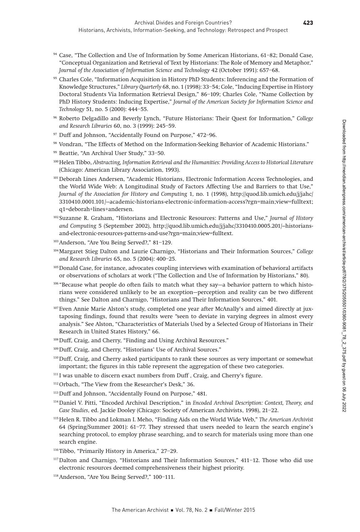- <sup>94</sup> Case, "The Collection and Use of Information by Some American Historians, 61–82; Donald Case, "Conceptual Organization and Retrieval of Text by Historians: The Role of Memory and Metaphor," Journal of the Association of Information Science and Technology 42 (October 1991): 657–68.
- <sup>95</sup> Charles Cole, "Information Acquisition in History PhD Students: Inferencing and the Formation of Knowledge Structures," Library Quarterly 68, no. 1 (1998): 33–54; Cole, "Inducing Expertise in History Doctoral Students Via Information Retrieval Design," 86–109; Charles Cole, "Name Collection by PhD History Students: Inducing Expertise," Journal of the American Society for Information Science and Technology 51, no. 5 (2000): 444–55.
- <sup>96</sup> Roberto Delgadillo and Beverly Lynch, "Future Historians: Their Quest for Information," College and Research Libraries 60, no. 3 (1999): 245–59.
- <sup>97</sup> Duff and Johnson, "Accidentally Found on Purpose," 472–96.
- <sup>98</sup> Vondran, "The Effects of Method on the Information-Seeking Behavior of Academic Historians."
- <sup>99</sup> Beattie, "An Archival User Study," 33–50.
- <sup>100</sup> Helen Tibbo, Abstracting, Information Retrieval and the Humanities: Providing Access to Historical Literature (Chicago: American Library Association, 1993).
- <sup>101</sup> Deborah Lines Andersen, "Academic Historians, Electronic Information Access Technologies, and the World Wide Web: A Longitudinal Study of Factors Affecting Use and Barriers to that Use," Journal of the Association for History and Computing 1, no. 1 (1998), http://quod.lib.umich.edu/j/jahc/ 3310410.0001.101/--academic-historians-electronic-information-access?rgn=main;view=fulltext; q1=deborah+lines+andersen.
- <sup>102</sup> Suzanne R. Graham, "Historians and Electronic Resources: Patterns and Use," Journal of History and Computing 5 (September 2002), http://quod.lib.umich.edu/j/jahc/3310410.0005.201/--historiansand-electronic-resources-patterns-and-use?rgn=main;view=fulltext.
- 103Anderson, "Are You Being Served?," 81–129.
- 104Margaret Stieg Dalton and Laurie Charnigo, "Historians and Their Information Sources," College and Research Libraries 65, no. 5 (2004): 400–25.
- <sup>105</sup> Donald Case, for instance, advocates coupling interviews with examination of behavioral artifacts or observations of scholars at work ("The Collection and Use of Information by Historians," 80).
- <sup>106</sup> "Because what people do often fails to match what they say—a behavior pattern to which historians were considered unlikely to be an exception—perception and reality can be two different things." See Dalton and Charnigo, "Historians and Their Information Sources," 401.
- 107Even Annie Marie Alston's study, completed one year after McAnally's and aimed directly at juxtaposing findings, found that results were "seen to deviate in varying degrees in almost every analysis." See Alston, "Characteristics of Materials Used by a Selected Group of Historians in Their Research in United States History," 66.
- 108Duff, Craig, and Cherry, "Finding and Using Archival Resources."
- 109Duff, Craig, and Cherry, "Historians' Use of Archival Sources."
- 110Duff, Craig, and Cherry asked participants to rank these sources as very important or somewhat important; the figures in this table represent the aggregation of these two categories.
- <sup>111</sup> I was unable to discern exact numbers from Duff, Craig, and Cherry's figure.
- 112Orbach, "The View from the Researcher's Desk," 36.
- 113Duff and Johnson, "Accidentally Found on Purpose," 481.
- 114Daniel V. Pitti, "Encoded Archival Description," in Encoded Archival Description: Context, Theory, and Case Studies, ed. Jackie Dooley (Chicago: Society of American Archivists, 1998), 21–22.
- <sup>115</sup> Helen R. Tibbo and Lokman I. Meho, "Finding Aids on the World Wide Web," The American Archivist 64 (Spring/Summer 2001): 61–77. They stressed that users needed to learn the search engine's searching protocol, to employ phrase searching, and to search for materials using more than one search engine.
- <sup>116</sup> Tibbo, "Primarily History in America," 27–29.
- <sup>117</sup> Dalton and Charnigo, "Historians and Their Information Sources," 411-12. Those who did use electronic resources deemed comprehensiveness their highest priority.
- 118Anderson, "Are You Being Served?," 100–111.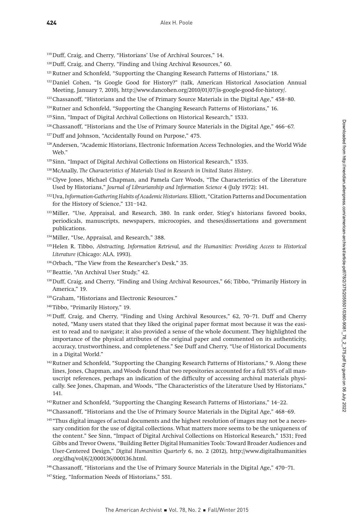119Duff, Craig, and Cherry, "Historians' Use of Archival Sources," 14.

- 120Duff, Craig, and Cherry, "Finding and Using Archival Resources," 60.
- <sup>121</sup> Rutner and Schonfeld, "Supporting the Changing Research Patterns of Historians," 18.
- 122Daniel Cohen, "Is Google Good for History?" (talk, American Historical Association Annual Meeting, January 7, 2010), http://www.dancohen.org/2010/01/07/is-google-good-for-history/.
- <sup>123</sup> Chassanoff, "Historians and the Use of Primary Source Materials in the Digital Age," 458-80.
- <sup>124</sup>Rutner and Schonfeld, "Supporting the Changing Research Patterns of Historians," 16.
- <sup>125</sup> Sinn, "Impact of Digital Archival Collections on Historical Research," 1533.
- <sup>126</sup>Chassanoff, "Historians and the Use of Primary Source Materials in the Digital Age," 466-67.
- 127Duff and Johnson, "Accidentally Found on Purpose," 475.
- 128Andersen, "Academic Historians, Electronic Information Access Technologies, and the World Wide Web."
- <sup>129</sup> Sinn, "Impact of Digital Archival Collections on Historical Research," 1535.
- 130 McAnally, The Characteristics of Materials Used in Research in United States History.
- <sup>131</sup> Clyve Jones, Michael Chapman, and Pamela Carr Woods, "The Characteristics of the Literature Used by Historians," Journal of Librarianship and Information Science 4 (July 1972): 141.
- 132 Uva, Information-Gathering Habits of Academic Historians. Elliott, "Citation Patterns and Documentation for the History of Science," 131–142.
- 133Miller, "Use, Appraisal, and Research, 380. In rank order, Stieg's historians favored books, periodicals, manuscripts, newspapers, microcopies, and theses/dissertations and government publications.
- 134Miller, "Use, Appraisal, and Research," 388.
- 135 Helen R. Tibbo, Abstracting, Information Retrieval, and the Humanities: Providing Access to Historical Literature (Chicago: ALA, 1993).
- 136 Orbach, "The View from the Researcher's Desk," 35.
- 137Beattie, "An Archival User Study," 42.
- 138Duff, Craig, and Cherry, "Finding and Using Archival Resources," 66; Tibbo, "Primarily History in America," 19.
- 139Graham, "Historians and Electronic Resources."
- 140Tibbo, "Primarily History," 19.
- 141Duff, Craig, and Cherry, "Finding and Using Archival Resources," 62, 70–71. Duff and Cherry noted, "Many users stated that they liked the original paper format most because it was the easiest to read and to navigate; it also provided a sense of the whole document. They highlighted the importance of the physical attributes of the original paper and commented on its authenticity, accuracy, trustworthiness, and completeness." See Duff and Cherry, "Use of Historical Documents in a Digital World."
- 142Rutner and Schonfeld, "Supporting the Changing Research Patterns of Historians," 9. Along these lines, Jones, Chapman, and Woods found that two repositories accounted for a full 55% of all manuscript references, perhaps an indication of the difficulty of accessing archival materials physically. See Jones, Chapman, and Woods, "The Characteristics of the Literature Used by Historians," 141.
- 143Rutner and Schonfeld, "Supporting the Changing Research Patterns of Historians," 14–22.
- 144Chassanoff, "Historians and the Use of Primary Source Materials in the Digital Age," 468–69.
- <sup>145</sup> "Thus digital images of actual documents and the highest resolution of images may not be a necessary condition for the use of digital collections. What matters more seems to be the uniqueness of the content." See Sinn, "Impact of Digital Archival Collections on Historical Research," 1531; Fred Gibbs and Trevor Owens, "Building Better Digital Humanities Tools: Toward Broader Audiences and User-Centered Design," Digital Humanities Quarterly 6, no. 2 (2012), http://www.digitalhumanities .org/dhq/vol/6/2/000136/000136.html.
- 146Chassanoff, "Historians and the Use of Primary Source Materials in the Digital Age," 470–71.
- <sup>147</sup> Stieg, "Information Needs of Historians," 551.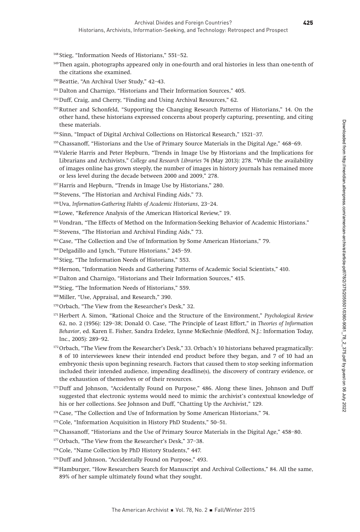<sup>148</sup> Stieg, "Information Needs of Historians," 551–52.

- 149Then again, photographs appeared only in one-fourth and oral histories in less than one-tenth of the citations she examined.
- 150 Beattie, "An Archival User Study," 42-43.
- <sup>151</sup> Dalton and Charnigo, "Historians and Their Information Sources," 405.
- 152Duff, Craig, and Cherry, "Finding and Using Archival Resources," 62.
- 153Rutner and Schonfeld, "Supporting the Changing Research Patterns of Historians," 14. On the other hand, these historians expressed concerns about properly capturing, presenting, and citing these materials.
- <sup>154</sup> Sinn, "Impact of Digital Archival Collections on Historical Research," 1521–37.
- 155 Chassanoff, "Historians and the Use of Primary Source Materials in the Digital Age," 468–69.
- 156Valerie Harris and Peter Hepburn, "Trends in Image Use by Historians and the Implications for Librarians and Archivists," College and Research Libraries 74 (May 2013): 278. "While the availability of images online has grown steeply, the number of images in history journals has remained more or less level during the decade between 2000 and 2009," 278.
- <sup>157</sup> Harris and Hepburn, "Trends in Image Use by Historians," 280.
- <sup>158</sup> Stevens, "The Historian and Archival Finding Aids," 73.
- 159Uva, Information-Gathering Habits of Academic Historians, 23–24.
- <sup>160</sup> Lowe, "Reference Analysis of the American Historical Review," 19.
- <sup>161</sup> Vondran, "The Effects of Method on the Information-Seeking Behavior of Academic Historians."
- <sup>162</sup> Stevens, "The Historian and Archival Finding Aids," 73.
- 163Case, "The Collection and Use of Information by Some American Historians," 79.
- 164Delgadillo and Lynch, "Future Historians," 245–59.
- <sup>165</sup> Stieg, "The Information Needs of Historians," 553.
- <sup>166</sup> Hernon, "Information Needs and Gathering Patterns of Academic Social Scientists," 410.
- 167Dalton and Charnigo, "Historians and Their Information Sources," 415.
- <sup>168</sup> Stieg, "The Information Needs of Historians," 559.
- <sup>169</sup> Miller, "Use, Appraisal, and Research," 390.
- 170 Orbach, "The View from the Researcher's Desk," 32.
- <sup>171</sup> Herbert A. Simon, "Rational Choice and the Structure of the Environment," Psychological Review 62, no. 2 (1956): 129–38; Donald O. Case, "The Principle of Least Effort," in Theories of Information Behavior, ed. Karen E. Fisher, Sandra Erdelez, Lynne McKechnie (Medford, N.J.: Information Today, Inc., 2005): 289–92.
- <sup>172</sup> Orbach, "The View from the Researcher's Desk," 33. Orbach's 10 historians behaved pragmatically: 8 of 10 interviewees knew their intended end product before they began, and 7 of 10 had an embryonic thesis upon beginning research. Factors that caused them to stop seeking information included their intended audience, impending deadline(s), the discovery of contrary evidence, or the exhaustion of themselves or of their resources.
- 173 Duff and Johnson, "Accidentally Found on Purpose," 486. Along these lines, Johnson and Duff suggested that electronic systems would need to mimic the archivist's contextual knowledge of his or her collections. See Johnson and Duff, "Chatting Up the Archivist," 129.
- <sup>174</sup> Case, "The Collection and Use of Information by Some American Historians," 74.
- 175Cole, "Information Acquisition in History PhD Students," 50–51.
- 176 Chassanoff, "Historians and the Use of Primary Source Materials in the Digital Age," 458-80.
- 177Orbach, "The View from the Researcher's Desk," 37–38.
- 178Cole, "Name Collection by PhD History Students," 447.
- <sup>179</sup>Duff and Johnson, "Accidentally Found on Purpose," 493.
- 180 Hamburger, "How Researchers Search for Manuscript and Archival Collections," 84. All the same, 89% of her sample ultimately found what they sought.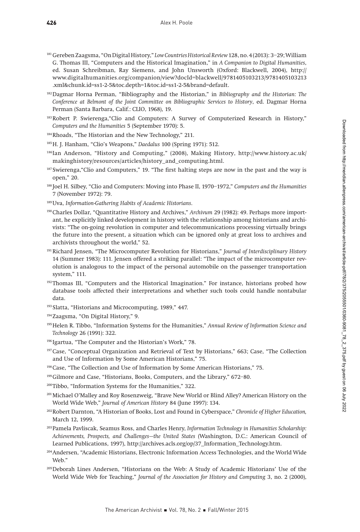- 181Gereben Zaagsma, "On Digital History," Low Countries Historical Review 128, no. 4 (2013): 3–29; William G. Thomas III, "Computers and the Historical Imagination," in A Companion to Digital Humanities, ed. Susan Schreibman, Ray Siemens, and John Unsworth (Oxford: Blackwell, 2004), http:// www.digitalhumanities.org/companion/view?docId=blackwell/9781405103213/9781405103213 .xml&chunk.id=ss1-2-5&toc.depth=1&toc.id=ss1-2-5&brand=default.
- $182$  Dagmar Horna Perman, "Bibliography and the Historian," in Bibliography and the Historian: The Conference at Belmont of the Joint Committee on Bibliographic Services to History, ed. Dagmar Horna Perman (Santa Barbara, Calif.: CLIO, 1968), 19.
- 183Robert P. Swierenga,"Clio and Computers: A Survey of Computerized Research in History," Computers and the Humanities 5 (September 1970): 5.
- 184Rhoads, "The Historian and the New Technology," 211.
- 185 H. J. Hanham, "Clio's Weapons," Daedalus 100 (Spring 1971): 512.
- 186Ian Anderson, "History and Computing," (2008), Making History, http://www.history.ac.uk/ makinghistory/resources/articles/history\_and\_computing.html.
- <sup>187</sup> Swierenga, "Clio and Computers," 19. "The first halting steps are now in the past and the way is open," 20.
- <sup>188</sup> Joel H. Silbey, "Clio and Computers: Moving into Phase II, 1970–1972," Computers and the Humanities 7 (November 1972): 79.
- 189 Uva, Information-Gathering Habits of Academic Historians.
- 190Charles Dollar, "Quantitative History and Archives," Archivum 29 (1982): 49. Perhaps more important, he explicitly linked development in history with the relationship among historians and archivists: "The on-going revolution in computer and telecommunications processing virtually brings the future into the present, a situation which can be ignored only at great loss to archives and archivists throughout the world," 52.
- <sup>191</sup> Richard Jensen, "The Microcomputer Revolution for Historians," Journal of Interdisciplinary History 14 (Summer 1983): 111. Jensen offered a striking parallel: "The impact of the microcomputer revolution is analogous to the impact of the personal automobile on the passenger transportation system," 111.
- <sup>192</sup>Thomas III, "Computers and the Historical Imagination." For instance, historians probed how database tools affected their interpretations and whether such tools could handle nontabular data.
- <sup>193</sup> Slatta, "Historians and Microcomputing, 1989," 447.
- 194Zaagsma, "On Digital History," 9.
- <sup>195</sup> Helen R. Tibbo, "Information Systems for the Humanities," Annual Review of Information Science and Technology 26 (1991): 322.
- <sup>196</sup> Igartua, "The Computer and the Historian's Work," 78.
- 197Case, "Conceptual Organization and Retrieval of Text by Historians," 663; Case, "The Collection and Use of Information by Some American Historians," 75.
- <sup>198</sup> Case, "The Collection and Use of Information by Some American Historians," 75.
- 199Gilmore and Case, "Historians, Books, Computers, and the Library," 672–80.
- 200Tibbo, "Information Systems for the Humanities," 322.
- 201Michael O'Malley and Roy Rosenzweig, "Brave New World or Blind Alley? American History on the World Wide Web," Journal of American History 84 (June 1997): 134.
- 202Robert Darnton, "A Historian of Books, Lost and Found in Cyberspace," Chronicle of Higher Education, March 12, 1999.
- <sup>203</sup> Pamela Pavliscak, Seamus Ross, and Charles Henry, Information Technology in Humanities Scholarship: Achievements, Prospects, and Challenges—the United States (Washington, D.C.: American Council of Learned Publications, 1997), http://archives.acls.org/op/37\_Information\_Technology.htm.
- 204Andersen, "Academic Historians, Electronic Information Access Technologies, and the World Wide Web."
- 205Deborah Lines Andersen, "Historians on the Web: A Study of Academic Historians' Use of the World Wide Web for Teaching," Journal of the Association for History and Computing 3, no. 2 (2000),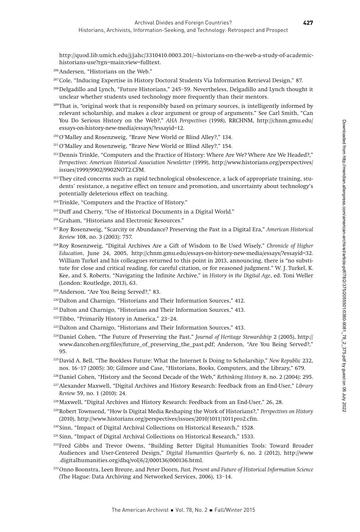http://quod.lib.umich.edu/j/jahc/3310410.0003.201/--historians-on-the-web-a-study-of-academichistorians-use?rgn=main;view=fulltext.

- 206Andersen, "Historians on the Web."
- 207Cole, "Inducing Expertise in History Doctoral Students Via Information Retrieval Design," 87.
- 208Delgadillo and Lynch, "Future Historians," 245–59. Nevertheless, Delgadillo and Lynch thought it unclear whether students used technology more frequently than their mentors.
- <sup>209</sup>That is, "original work that is responsibly based on primary sources, is intelligently informed by relevant scholarship, and makes a clear argument or group of arguments." See Carl Smith, "Can You Do Serious History on the Web?," AHA Perspectives (1998), RRCHNM, http://chnm.gmu.edu/ essays-on-history-new-media/essays/?essayid=12.
- <sup>210</sup>O'Malley and Rosenzweig, "Brave New World or Blind Alley?," 134.
- <sup>211</sup> O'Malley and Rosenzweig, "Brave New World or Blind Alley?," 154.
- <sup>212</sup> Dennis Trinkle, "Computers and the Practice of History: Where Are We? Where Are We Headed?," Perspectives: American Historical Association Newsletter (1999), http://www.historians.org/perspectives/ issues/1999/9902/9902NOT2.CFM.
- <sup>213</sup> They cited concerns such as rapid technological obsolescence, a lack of appropriate training, students' resistance, a negative effect on tenure and promotion, and uncertainty about technology's potentially deleterious effect on teaching.
- <sup>214</sup> Trinkle, "Computers and the Practice of History."
- 215Duff and Cherry, "Use of Historical Documents in a Digital World."
- 216Graham, "Historians and Electronic Resources."
- <sup>217</sup> Roy Rosenzweig, "Scarcity or Abundance? Preserving the Past in a Digital Era," American Historical Review 108, no. 3 (2003): 757.
- 218Roy Rosenzweig, "Digital Archives Are a Gift of Wisdom to Be Used Wisely," Chronicle of Higher Education, June 24, 2005, http://chnm.gmu.edu/essays-on-history-new-media/essays/?essayid=32. William Turkel and his colleagues returned to this point in 2013, announcing, there is "no substitute for close and critical reading, for careful citation, or for reasoned judgment." W. J. Turkel, K. Kee, and S. Roberts, "Navigating the Infinite Archive," in History in the Digital Age, ed. Toni Weller (London: Routledge, 2013), 63.
- 219Anderson, "Are You Being Served?," 83.
- <sup>220</sup>Dalton and Charnigo, "Historians and Their Information Sources," 412.
- <sup>221</sup> Dalton and Charnigo, "Historians and Their Information Sources," 413.
- 222Tibbo, "Primarily History in America," 23–24.
- 223Dalton and Charnigo, "Historians and Their Information Sources," 413.
- $^{224}$ Daniel Cohen, "The Future of Preserving the Past," Journal of Heritage Stewardship 2 (2005), http:// www.dancohen.org/files/future\_of\_preserving\_the\_past.pdf; Anderson, "Are You Being Served?," 95.
- <sup>225</sup> David A. Bell, "The Bookless Future: What the Internet Is Doing to Scholarship," New Republic 232, nos. 16–17 (2005): 30; Gilmore and Case, "Historians, Books, Computers, and the Library," 679.
- <sup>226</sup>Daniel Cohen, "History and the Second Decade of the Web," Rethinking History 8, no. 2 (2004): 295.
- 227Alexander Maxwell, "Digital Archives and History Research: Feedback from an End-User," Library Review 59, no. 1 (2010): 24.
- 228Maxwell, "Digital Archives and History Research: Feedback from an End-User," 26, 28.
- <sup>229</sup>Robert Townsend, "How Is Digital Media Reshaping the Work of Historians?," Perspectives on History (2010), http://www.historians.org/perspectives/issues/2010/1011/1011pro2.cfm.
- <sup>230</sup> Sinn, "Impact of Digital Archival Collections on Historical Research," 1528.
- <sup>231</sup> Sinn, "Impact of Digital Archival Collections on Historical Research," 1533.
- 232Fred Gibbs and Trevor Owens, "Building Better Digital Humanities Tools: Toward Broader Audiences and User-Centered Design," Digital Humanities Quarterly 6, no. 2 (2012), http://www .digitalhumanities.org/dhq/vol/6/2/000136/000136.html.
- <sup>233</sup>Onno Boonstra, Leen Breure, and Peter Doorn, Past, Present and Future of Historical Information Science (The Hague: Data Archiving and Networked Services, 2006), 13–14.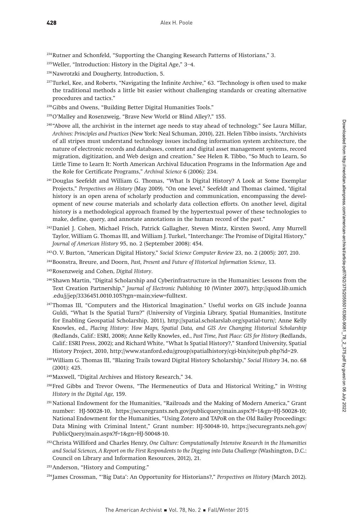234Rutner and Schonfeld, "Supporting the Changing Research Patterns of Historians," 3.

- 235Weller, "Introduction: History in the Digital Age," 3–4.
- <sup>236</sup>Nawrotzki and Dougherty, Introduction, 5.
- <sup>237</sup>Turkel, Kee, and Roberts, "Navigating the Infinite Archive," 63. "Technology is often used to make the traditional methods a little bit easier without challenging standards or creating alternative procedures and tactics."
- 238Gibbs and Owens, "Building Better Digital Humanities Tools."
- <sup>239</sup>O'Malley and Rosenzweig, "Brave New World or Blind Alley?," 155.
- <sup>240</sup> "Above all, the archivist in the internet age needs to stay ahead of technology." See Laura Millar, Archives: Principles and Practices (New York: Neal Schuman, 2010), 221. Helen Tibbo insists, "Archivists of all stripes must understand technology issues including information system architecture, the nature of electronic records and databases, content and digital asset management systems, record migration, digitization, and Web design and creation." See Helen R. Tibbo, "So Much to Learn, So Little Time to Learn It: North American Archival Education Programs in the Information Age and the Role for Certificate Programs," Archival Science 6 (2006): 234.
- 241Douglas Seefeldt and William G. Thomas, "What Is Digital History? A Look at Some Exemplar Projects," Perspectives on History (May 2009). "On one level," Seefeldt and Thomas claimed, "digital history is an open arena of scholarly production and communication, encompassing the development of new course materials and scholarly data collection efforts. On another level, digital history is a methodological approach framed by the hypertextual power of these technologies to make, define, query, and annotate annotations in the human record of the past."
- 242Daniel J. Cohen, Michael Frisch, Patrick Gallagher, Steven Mintz, Kirsten Sword, Amy Murrell Taylor, William G. Thomas III, and William J. Turkel, "Interchange: The Promise of Digital History," Journal of American History 95, no. 2 (September 2008): 454.
- 243O. V. Burton, "American Digital History," Social Science Computer Review 23, no. 2 (2005): 207, 210.
- <sup>244</sup>Boonstra, Breure, and Doorn, Past, Present and Future of Historical Information Science, 13.
- <sup>245</sup>Rosenzweig and Cohen, Digital History.
- <sup>246</sup> Shawn Martin, "Digital Scholarship and Cyberinfrastructure in the Humanities: Lessons from the Text Creation Partnership," Journal of Electronic Publishing 10 (Winter 2007), http://quod.lib.umich .edu/j/jep/3336451.0010.105?rgn=main;view=fulltext.
- 247Thomas III, "Computers and the Historical Imagination." Useful works on GIS include Joanna Guldi, "What Is the Spatial Turn?" (University of Virginia Library, Spatial Humanities, Institute for Enabling Geospatial Scholarship, 2011), http://spatial.scholarslab.org/spatial-turn/; Anne Kelly Knowles, ed., Placing History: How Maps, Spatial Data, and GIS Are Changing Historical Scholarship (Redlands, Calif.: ESRI, 2008); Anne Kelly Knowles, ed., Past Time, Past Place: GIS for History (Redlands, Calif.: ESRI Press, 2002); and Richard White, "What Is Spatial History?," Stanford University, Spatial History Project, 2010, http://www.stanford.edu/group/spatialhistory/cgi-bin/site/pub.php?id=29.
- 248William G. Thomas III, "Blazing Trails toward Digital History Scholarship," Social History 34, no. 68 (2001): 425.
- 249Maxwell, "Digital Archives and History Research," 34.
- <sup>250</sup> Fred Gibbs and Trevor Owens, "The Hermeneutics of Data and Historical Writing," in Writing History in the Digital Age, 159.
- <sup>251</sup> National Endowment for the Humanities, "Railroads and the Making of Modern America," Grant number: HJ-50028-10, https://securegrants.neh.gov/publicquery/main.aspx?f=1&gn=HJ-50028-10; National Endowment for the Humanities, "Using Zotero and TAPoR on the Old Bailey Proceedings: Data Mining with Criminal Intent," Grant number: HJ-50048-10, https://securegrants.neh.gov/ PublicQuery/main.aspx?f=1&gn=HJ-50048-10.
- <sup>252</sup>Christa Williford and Charles Henry, One Culture: Computationally Intensive Research in the Humanities and Social Sciences, A Report on the First Respondents to the Digging into Data Challenge (Washington, D.C.: Council on Library and Information Resources, 2012), 21.
- 253Anderson, "History and Computing."
- <sup>254</sup> James Crossman, "'Big Data': An Opportunity for Historians?," Perspectives on History (March 2012).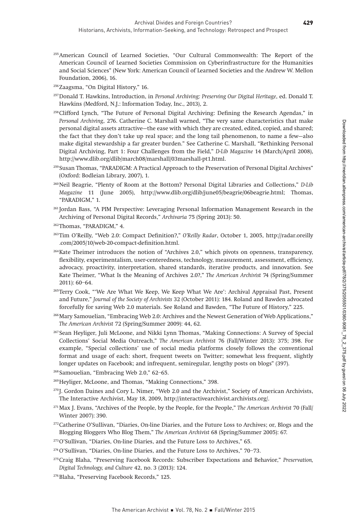- 255American Council of Learned Societies, "Our Cultural Commonwealth: The Report of the American Council of Learned Societies Commission on Cyberinfrastructure for the Humanities and Social Sciences" (New York: American Council of Learned Societies and the Andrew W. Mellon Foundation, 2006), 16.
- 256Zaagsma, "On Digital History," 16.
- <sup>257</sup>Donald T. Hawkins, Introduction, in Personal Archiving: Preserving Our Digital Heritage, ed. Donald T. Hawkins (Medford, N.J.: Information Today, Inc., 2013), 2.
- 258Clifford Lynch, "The Future of Personal Digital Archiving: Defining the Research Agendas," in Personal Archiving, 276. Catherine C. Marshall warned, "The very same characteristics that make personal digital assets attractive—the ease with which they are created, edited, copied, and shared; the fact that they don't take up real space; and the long tail phenomenon, to name a few—also make digital stewardship a far greater burden." See Catherine C. Marshall, "Rethinking Personal Digital Archiving, Part 1: Four Challenges from the Field," D-Lib Magazine 14 (March/April 2008), http://www.dlib.org/dlib/march08/marshall/03marshall-pt1.html.
- <sup>259</sup> Susan Thomas, "PARADIGM: A Practical Approach to the Preservation of Personal Digital Archives" (Oxford: Bodleian Library, 2007), 1.
- 260Neil Beagrie, "Plenty of Room at the Bottom? Personal Digital Libraries and Collections," D-Lib Magazine 11 (June 2005), http://www.dlib.org/dlib/june05/beagrie/06beagrie.html; Thomas, "PARADIGM," 1.
- <sup>261</sup> Jordan Bass, "A PIM Perspective: Leveraging Personal Information Management Research in the Archiving of Personal Digital Records," Archivaria 75 (Spring 2013): 50.
- 262Thomas, "PARADIGM," 4.
- 263Tim O'Reilly, "Web 2.0: Compact Definition?," O'Reilly Radar, October 1, 2005, http://radar.oreilly .com/2005/10/web-20-compact-definition.html.
- 264Kate Theimer introduces the notion of "Archives 2.0," which pivots on openness, transparency, flexibility, experimentalism, user-centeredness, technology, measurement, assessment, efficiency, advocacy, proactivity, interpretation, shared standards, iterative products, and innovation. See Kate Theimer, "What Is the Meaning of Archives 2.0?," The American Archivist 74 (Spring/Summer 2011): 60–64.
- 265Terry Cook, "'We Are What We Keep, We Keep What We Are': Archival Appraisal Past, Present and Future," Journal of the Society of Archivists 32 (October 2011): 184. Roland and Bawden advocated forcefully for saving Web 2.0 materials. See Roland and Bawden, "The Future of History," 225.
- 266Mary Samouelian, "Embracing Web 2.0: Archives and the Newest Generation of Web Applications," The American Archivist 72 (Spring/Summer 2009): 44, 62.
- <sup>267</sup> Sean Heyliger, Juli McLoone, and Nikki Lynn Thomas, "Making Connections: A Survey of Special Collections' Social Media Outreach," The American Archivist 76 (Fall/Winter 2013): 375; 398. For example, "Special collections' use of social media platforms closely follows the conventional format and usage of each: short, frequent tweets on Twitter; somewhat less frequent, slightly longer updates on Facebook; and infrequent, semiregular, lengthy posts on blogs" (397).
- <sup>268</sup> Samouelian, "Embracing Web 2.0," 62–65.
- <sup>269</sup>Heyliger, McLoone, and Thomas, "Making Connections," 398.
- <sup>270</sup> J. Gordon Daines and Cory L. Nimer, "Web 2.0 and the Archivist," Society of American Archivists, The Interactive Archivist, May 18, 2009, http://interactivearchivist.archivists.org/.
- <sup>271</sup> Max J. Evans, "Archives of the People, by the People, for the People," The American Archivist 70 (Fall/ Winter 2007): 390.
- 272Catherine O'Sullivan, "Diaries, On-line Diaries, and the Future Loss to Archives; or, Blogs and the Blogging Bloggers Who Blog Them," The American Archivist 68 (Spring/Summer 2005): 67.
- 273O'Sullivan, "Diaries, On-line Diaries, and the Future Loss to Archives," 65.
- 274O'Sullivan, "Diaries, On-line Diaries, and the Future Loss to Archives," 70–73.
- <sup>275</sup>Craig Blaha, "Preserving Facebook Records: Subscriber Expectations and Behavior," Preservation, Digital Technology, and Culture 42, no. 3 (2013): 124.
- 276Blaha, "Preserving Facebook Records," 125.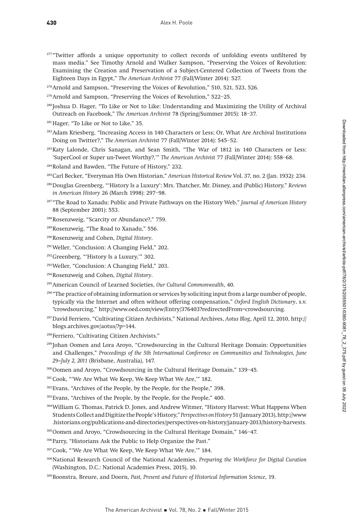- <sup>277</sup> "Twitter affords a unique opportunity to collect records of unfolding events unfiltered by mass media." See Timothy Arnold and Walker Sampson, "Preserving the Voices of Revolution: Examining the Creation and Preservation of a Subject-Centered Collection of Tweets from the Eighteen Days in Egypt," The American Archivist 77 (Fall/Winter 2014): 527.
- 278Arnold and Sampson, "Preserving the Voices of Revolution," 510, 521, 523, 526.
- 279Arnold and Sampson, "Preserving the Voices of Revolution," 522–25.
- <sup>280</sup> Joshua D. Hager, "To Like or Not to Like: Understanding and Maximizing the Utility of Archival Outreach on Facebook," The American Archivist 78 (Spring/Summer 2015): 18–37.
- <sup>281</sup> Hager, "To Like or Not to Like," 35.
- 282Adam Kriesberg, "Increasing Access in 140 Characters or Less; Or, What Are Archival Institutions Doing on Twitter?," The American Archivist 77 (Fall/Winter 2014): 545–52.
- 283Katy Lalonde, Chris Sanagan, and Sean Smith, "The War of 1812 in 140 Characters or Less: 'SuperCool or Super un-Tweet Worthy?,'" The American Archivist 77 (Fall/Winter 2014): 558–68.
- 284Roland and Bawden, "The Future of History," 232.
- 285Carl Becker, "Everyman His Own Historian," American Historical Review Vol. 37, no. 2 (Jan. 1932): 234.
- 286Douglas Greenberg, "'History Is a Luxury': Mrs. Thatcher, Mr. Disney, and (Public) History," Reviews in American History 26 (March 1998): 297–98.
- <sup>287</sup> "The Road to Xanadu: Public and Private Pathways on the History Web," Journal of American History 88 (September 2001): 553.
- 288Rosenzweig, "Scarcity or Abundance?," 759.
- 289Rosenzweig, "The Road to Xanadu," 556.
- 290Rosenzweig and Cohen, Digital History.
- 291Weller, "Conclusion: A Changing Field," 202.
- 292Greenberg, "'History Is a Luxury,'" 302.
- 293Weller, "Conclusion: A Changing Field," 203.
- 294Rosenzweig and Cohen, Digital History.
- 295American Council of Learned Societies, Our Cultural Commonwealth, 40.
- <sup>296</sup> "The practice of obtaining information or services by soliciting input from a large number of people, typically via the Internet and often without offering compensation," Oxford English Dictionary, s.v. "crowdsourcing," http://www.oed.com/view/Entry/376403?redirectedFrom=crowdsourcing.
- 297David Ferriero, "Cultivating Citizen Archivists," National Archives, Aotus Blog, April 12, 2010, http:// blogs.archives.gov/aotus/?p=144.
- <sup>298</sup> Ferriero, "Cultivating Citizen Archivists."
- <sup>299</sup> Johan Oomen and Lora Aroyo, "Crowdsourcing in the Cultural Heritage Domain: Opportunities and Challenges," Proceedings of the 5th International Conference on Communities and Technologies, June 29–July 2, 2011 (Brisbane, Australia), 147.
- 300Oomen and Aroyo, "Crowdsourcing in the Cultural Heritage Domain," 139–45.
- 301 Cook, "'We Are What We Keep, We Keep What We Are," 182.
- 302Evans, "Archives of the People, by the People, for the People," 398.
- <sup>303</sup>Evans, "Archives of the People, by the People, for the People," 400.
- 304William G. Thomas, Patrick D. Jones, and Andrew Witmer, "History Harvest: What Happens When Students Collect and Digitize the People's History," Perspectives on History 51 (January 2013), http://www .historians.org/publications-and-directories/perspectives-on-history/january-2013/history-harvests.
- 305Oomen and Aroyo, "Crowdsourcing in the Cultural Heritage Domain," 146–47.
- 306Parry, "Historians Ask the Public to Help Organize the Past."
- 307Cook, "'We Are What We Keep, We Keep What We Are,'" 184.
- <sup>308</sup>National Research Council of the National Academies, Preparing the Workforce for Digital Curation (Washington, D.C.: National Academies Press, 2015), 10.
- 309Boonstra, Breure, and Doorn, Past, Present and Future of Historical Information Science, 19.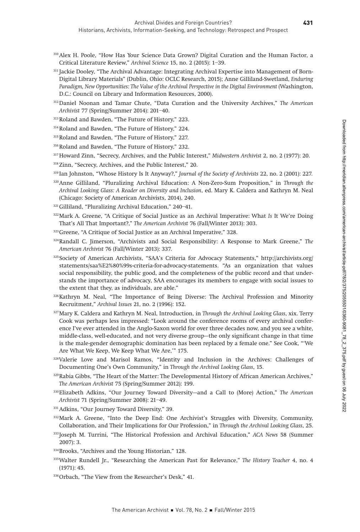- 310Alex H. Poole, "How Has Your Science Data Grown? Digital Curation and the Human Factor, a Critical Literature Review," Archival Science 15, no. 2 (2015): 1–39.
- <sup>311</sup> Jackie Dooley, "The Archival Advantage: Integrating Archival Expertise into Management of Born-Digital Library Materials" (Dublin, Ohio: OCLC Research, 2015); Anne Gilliland-Swetland, Enduring Paradigm, New Opportunities: The Value of the Archival Perspective in the Digital Environment (Washington, D.C.: Council on Library and Information Resources, 2000).
- 312 Daniel Noonan and Tamar Chute, "Data Curation and the University Archives," The American Archivist 77 (Spring/Summer 2014): 201–40.
- 313Roland and Bawden, "The Future of History," 223.
- 314Roland and Bawden, "The Future of History," 224.
- 315Roland and Bawden, "The Future of History," 227.
- 316Roland and Bawden, "The Future of History," 232.
- <sup>317</sup> Howard Zinn, "Secrecy, Archives, and the Public Interest," Midwestern Archivist 2, no. 2 (1977): 20.
- <sup>318</sup> Zinn, "Secrecy, Archives, and the Public Interest," 20.
- <sup>319</sup> Ian Johnston, "Whose History Is It Anyway?," Journal of the Society of Archivists 22, no. 2 (2001): 227.
- 320Anne Gilliland, "Pluralizing Archival Education: A Non-Zero-Sum Proposition," in Through the Archival Looking Glass: A Reader on Diversity and Inclusion, ed. Mary K. Caldera and Kathryn M. Neal (Chicago: Society of American Archivists, 2014), 240.
- 321Gilliland, "Pluralizing Archival Education," 240–41.
- 322 Mark A. Greene, "A Critique of Social Justice as an Archival Imperative: What Is It We're Doing That's All That Important?," The American Archivist 76 (Fall/Winter 2013): 303.
- 323 Greene, "A Critique of Social Justice as an Archival Imperative," 328.
- $324$ Randall C. Jimerson, "Archivists and Social Responsibility: A Response to Mark Greene," The American Archivist 76 (Fall/Winter 2013): 337.
- <sup>325</sup> Society of American Archivists, "SAA's Criteria for Advocacy Statements," http://archivists.org/ statements/saa%E2%80%99s-criteria-for-advocacy-statements. "As an organization that values social responsibility, the public good, and the completeness of the public record and that understands the importance of advocacy, SAA encourages its members to engage with social issues to the extent that they, as individuals, are able."
- 326 Kathryn M. Neal, "The Importance of Being Diverse: The Archival Profession and Minority Recruitment," Archival Issues 21, no. 2 (1996): 152.
- 327 Mary K. Caldera and Kathryn M. Neal, Introduction, in Through the Archival Looking Glass, xix. Terry Cook was perhaps less impressed: "Look around the conference rooms of every archival conference I've ever attended in the Anglo-Saxon world for over three decades now, and you see a white, middle-class, well-educated, and not very diverse group—the only significant change in that time is the male-gender demographic domination has been replaced by a female one." See Cook, "'We Are What We Keep, We Keep What We Are,'" 175.
- 328Valerie Love and Marisol Ramos, "Identity and Inclusion in the Archives: Challenges of Documenting One's Own Community," in Through the Archival Looking Glass, 15.
- <sup>329</sup>Rabia Gibbs, "The Heart of the Matter: The Developmental History of African American Archives," The American Archivist 75 (Spring/Summer 2012): 199.
- 330Elizabeth Adkins, "Our Journey Toward Diversity—and a Call to (More) Action," The American Archivist 71 (Spring/Summer 2008): 21–49.
- 331 Adkins, "Our Journey Toward Diversity," 39.
- 332Mark A. Greene, "Into the Deep End: One Archivist's Struggles with Diversity, Community, Collaboration, and Their Implications for Our Profession," in Through the Archival Looking Glass, 25.
- <sup>333</sup> Joseph M. Turrini, "The Historical Profession and Archival Education," ACA News 58 (Summer 2007): 3.
- 334Brooks, "Archives and the Young Historian," 128.
- 335 Walter Rundell Jr., "Researching the American Past for Relevance," The History Teacher 4, no. 4 (1971): 45.
- 336Orbach, "The View from the Researcher's Desk," 41.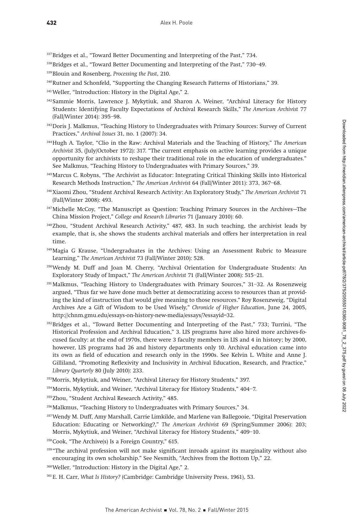337Bridges et al., "Toward Better Documenting and Interpreting of the Past," 734.

- 339 Blouin and Rosenberg, Processing the Past, 210.
- 340Rutner and Schonfeld, "Supporting the Changing Research Patterns of Historians," 39.
- 341Weller, "Introduction: History in the Digital Age," 2.
- <sup>342</sup> Sammie Morris, Lawrence J. Mykytiuk, and Sharon A. Weiner, "Archival Literacy for History Students: Identifying Faculty Expectations of Archival Research Skills," The American Archivist 77 (Fall/Winter 2014): 395–98.
- 343Doris J. Malkmus, "Teaching History to Undergraduates with Primary Sources: Survey of Current Practices," Archival Issues 31, no. 1 (2007): 34.
- 344Hugh A. Taylor, "Clio in the Raw: Archival Materials and the Teaching of History," The American Archivist 35, (July/October 1972): 317. "The current emphasis on active learning provides a unique opportunity for archivists to reshape their traditional role in the education of undergraduates." See Malkmus, "Teaching History to Undergraduates with Primary Sources," 39.
- 345Marcus C. Robyns, "The Archivist as Educator: Integrating Critical Thinking Skills into Historical Research Methods Instruction," The American Archivist 64 (Fall/Winter 2011): 373, 367–68.
- 346Xiaomi Zhou, "Student Archival Research Activity: An Exploratory Study," The American Archivist 71 (Fall/Winter 2008): 493.
- 347Michelle McCoy, "The Manuscript as Question: Teaching Primary Sources in the Archives—The China Mission Project," College and Research Libraries 71 (January 2010): 60.
- 348Zhou, "Student Archival Research Activity," 487, 483. In such teaching, the archivist leads by example, that is, she shows the students archival materials and offers her interpretation in real time.
- 349Magia G Krause, "Undergraduates in the Archives: Using an Assessment Rubric to Measure Learning," The American Archivist 73 (Fall/Winter 2010): 528.
- 350Wendy M. Duff and Joan M. Cherry, "Archival Orientation for Undergraduate Students: An Exploratory Study of Impact," The American Archivist 71 (Fall/Winter 2008): 515–21.
- <sup>351</sup> Malkmus, "Teaching History to Undergraduates with Primary Sources," 31-32. As Rosenzweig argued, "Thus far we have done much better at democratizing access to resources than at providing the kind of instruction that would give meaning to those resources." Roy Rosenzweig, "Digital Archives Are a Gift of Wisdom to be Used Wisely," Chronicle of Higher Education, June 24, 2005, http://chnm.gmu.edu/essays-on-history-new-media/essays/?essayid=32.
- <sup>352</sup>Bridges et al., "Toward Better Documenting and Interpreting of the Past," 733; Turrini, "The Historical Profession and Archival Education," 3. LIS programs have also hired more archives-focused faculty: at the end of 1970s, there were 3 faculty members in LIS and 4 in history; by 2000, however, LIS programs had 26 and history departments only 10. Archival education came into its own as field of education and research only in the 1990s. See Kelvin L. White and Anne J. Gilliland, "Promoting Reflexivity and Inclusivity in Archival Education, Research, and Practice," Library Quarterly 80 (July 2010): 233.
- 353 Morris, Mykytiuk, and Weiner, "Archival Literacy for History Students," 397.
- 354Morris, Mykytiuk, and Weiner, "Archival Literacy for History Students," 404–7.
- 355Zhou, "Student Archival Research Activity," 485.
- 356Malkmus, "Teaching History to Undergraduates with Primary Sources," 34.
- 357Wendy M. Duff, Amy Marshall, Carrie Limkilde, and Marlene van Ballegooie, "Digital Preservation Education: Educating or Networking?," The American Archivist 69 (Spring/Summer 2006): 203; Morris, Mykytiuk, and Weiner, "Archival Literacy for History Students," 409–10.
- 358Cook, "The Archive(s) Is a Foreign Country," 615.
- <sup>359</sup> "The archival profession will not make significant inroads against its marginality without also encouraging its own scholarship." See Nesmith, "Archives from the Bottom Up," 22.
- 360Weller, "Introduction: History in the Digital Age," 2.
- 361E. H. Carr, What Is History? (Cambridge: Cambridge University Press, 1961), 53.

<sup>338</sup>Bridges et al., "Toward Better Documenting and Interpreting of the Past," 730–49.